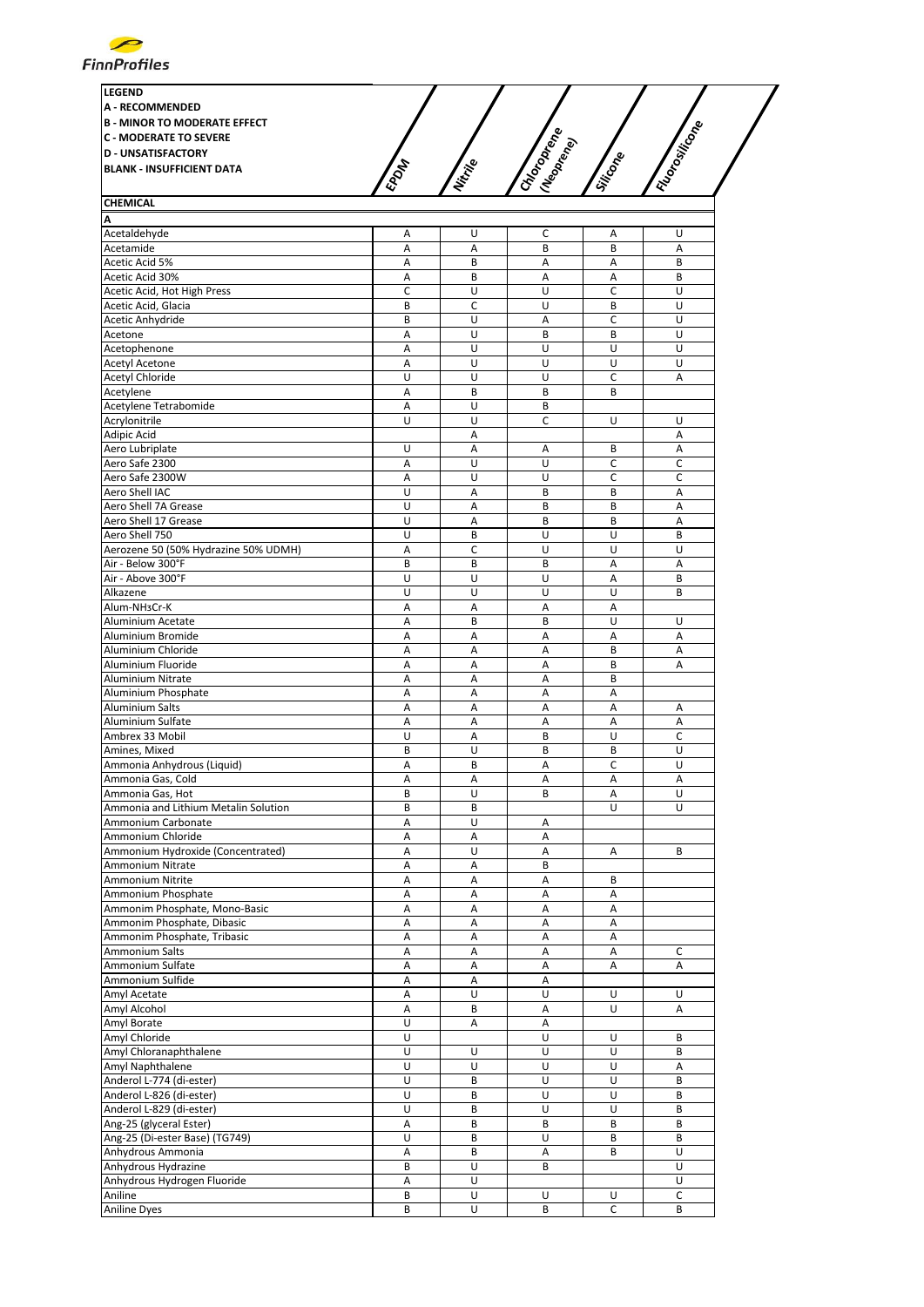

| <b>LEGEND</b><br><b>A - RECOMMENDED</b><br><b>B - MINOR TO MODERATE EFFECT</b><br><b>C - MODERATE TO SEVERE</b><br><b>ID - UNSATISFACTORY</b><br><b>BLANK - INSUFFICIENT DATA</b> | EPON         | Nitripe | $\mathscr{E}^\varrho$<br>Meoprenio<br>CHIOTOPIA | Siticope | Filosoficone |  |
|-----------------------------------------------------------------------------------------------------------------------------------------------------------------------------------|--------------|---------|-------------------------------------------------|----------|--------------|--|
| <b>CHEMICAL</b>                                                                                                                                                                   |              |         |                                                 |          |              |  |
| ΙA                                                                                                                                                                                |              |         |                                                 |          |              |  |
| Acetaldehyde                                                                                                                                                                      | $\mathsf{A}$ |         |                                                 | A        |              |  |

| Acetaldehyde                         | A | U | C       | Α              | U |
|--------------------------------------|---|---|---------|----------------|---|
| Acetamide                            | Α | Α | B       | B              | A |
| Acetic Acid 5%                       | Α | B | Α       | Α              | B |
| Acetic Acid 30%                      | Α | B | Α       | Α              | B |
| Acetic Acid, Hot High Press          | С | U | U       | C              | U |
| Acetic Acid, Glacia                  | B | C | U       | B              | U |
| Acetic Anhydride                     | B | U | Α       | C              | U |
| Acetone                              | Α | U | B       | B              | U |
| Acetophenone                         | Α | U | U       | U              | U |
| <b>Acetyl Acetone</b>                | A | U | U       | U              | U |
|                                      |   | U | U       |                |   |
| <b>Acetyl Chloride</b>               | U |   |         | С              | Α |
| Acetylene                            | A | B | B       | B              |   |
| Acetylene Tetrabomide                | Α | U | B       |                |   |
| Acrylonitrile                        | U | U | C       | U              | U |
| Adipic Acid                          |   | Α |         |                | Α |
| Aero Lubriplate                      | U | A | Α       | B              | A |
| Aero Safe 2300                       | Α | U | U       | C              | С |
| Aero Safe 2300W                      | Α | U | U       | C              | C |
| Aero Shell IAC                       | U | A | B       | B              | A |
| Aero Shell 7A Grease                 | U | Α | B       | B              | Α |
| Aero Shell 17 Grease                 | U | Α | B       | B              | A |
| Aero Shell 750                       | U | B | U       | U              | B |
| Aerozene 50 (50% Hydrazine 50% UDMH) | Α | C | U       | U              | U |
| Air - Below 300°F                    | B | B | B       | Α              | Α |
| Air - Above 300°F                    | U | U | U       | $\overline{A}$ | B |
| Alkazene                             | U | U | U       | U              | B |
| Alum-NH3Cr-K                         | Α | Α | Α       | A              |   |
| Aluminium Acetate                    | Α | B | B       | U              | U |
|                                      | Α | Α | Α       | Α              | A |
| Aluminium Bromide                    |   |   |         |                |   |
| Aluminium Chloride                   | Α | Α | Α       | B              | Α |
| Aluminium Fluoride                   | A | A | A       | B              | A |
| Aluminium Nitrate                    | Α | Α | Α       | B              |   |
| Aluminium Phosphate                  | Α | Α | Α       | Α              |   |
| Aluminium Salts                      | Α | Α | A       | Α              | Α |
| Aluminium Sulfate                    | А | Α | Α       | Α              | Α |
| Ambrex 33 Mobil                      | U | A | B       | U              | C |
| Amines, Mixed                        | B | U | B       | B              | U |
| Ammonia Anhydrous (Liquid)           | A | B | A       | C              | U |
| Ammonia Gas, Cold                    | A | Α | Α       | Α              | A |
| Ammonia Gas, Hot                     | B | U | B       | Α              | U |
| Ammonia and Lithium Metalin Solution | B | B |         | U              | U |
| Ammonium Carbonate                   | Α | U | Α       |                |   |
| Ammonium Chloride                    | A | A | A       |                |   |
| Ammonium Hydroxide (Concentrated)    | A | U | Α       | Α              | B |
| Ammonium Nitrate                     | Α | Α | B       |                |   |
| Ammonium Nitrite                     | Α | Α | Α       | B              |   |
|                                      | Α | Α | A       | Α              |   |
| Ammonium Phosphate                   |   |   |         |                |   |
| Ammonim Phosphate, Mono-Basic        | Α | Α | Α       | Α              |   |
| Ammonim Phosphate, Dibasic           | A | A | $\sf A$ | $\sf A$        |   |
| Ammonim Phosphate, Tribasic          | Α | Α | Α       | Α              |   |
| Ammonium Salts                       | Α | Α | Α       | Α              | С |
| Ammonium Sulfate                     | А | Α | Α       | Α              | Α |
| Ammonium Sulfide                     | Α | Α | Α       |                |   |
| Amyl Acetate                         | Α | U | U       | U              | U |
| Amyl Alcohol                         | Α | В | Α       | U              | Α |
| Amyl Borate                          | U | А | А       |                |   |
| Amyl Chloride                        | U |   | U       | U              | B |
| Amyl Chloranaphthalene               | U | U | U       | U              | В |
| Amyl Naphthalene                     | U | U | U       | U              | Α |
| Anderol L-774 (di-ester)             | U | В | U       | U              | В |
| Anderol L-826 (di-ester)             | U | В | U       | U              | В |
| Anderol L-829 (di-ester)             | U | B | U       | U              | B |
| Ang-25 (glyceral Ester)              | A | В | B       | B              | В |
| Ang-25 (Di-ester Base) (TG749)       | U | В | U       | В              | B |
|                                      |   |   |         |                |   |
| Anhydrous Ammonia                    | А | В | Α       | В              | U |
| Anhydrous Hydrazine                  | B | U | B       |                | U |
| Anhydrous Hydrogen Fluoride          | Α | U |         |                | U |
| Aniline                              | В | U | U       | U              | С |
| <b>Aniline Dyes</b>                  | B | U | В       | $\mathsf C$    | B |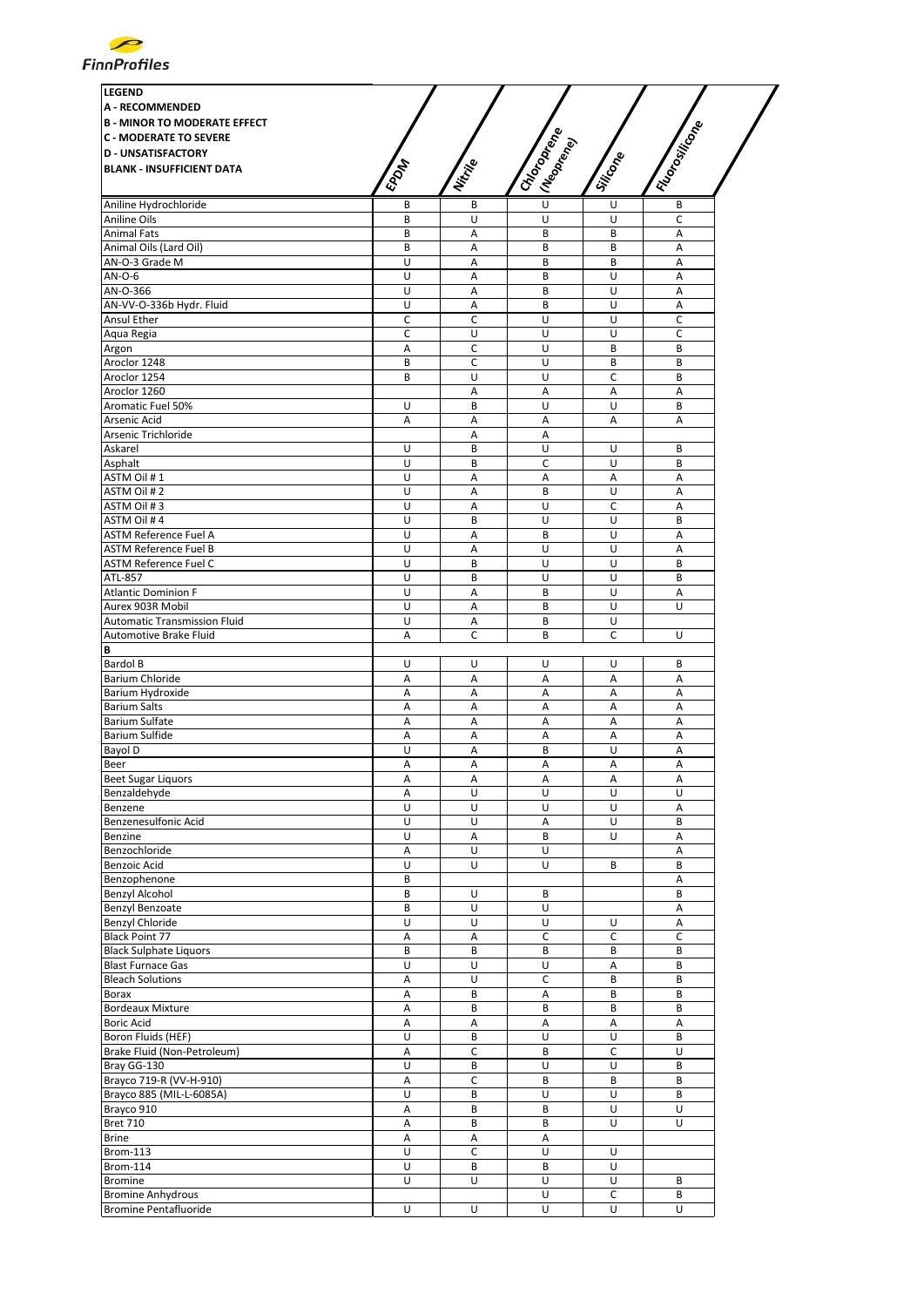

| <b>LEGEND</b>                                                |             |          |                                       |          |                |
|--------------------------------------------------------------|-------------|----------|---------------------------------------|----------|----------------|
| <b>A - RECOMMENDED</b>                                       |             |          |                                       |          |                |
| <b>B - MINOR TO MODERATE EFFECT</b>                          |             |          |                                       |          |                |
| <b>C - MODERATE TO SEVERE</b><br><b>D - UNSATISFACTORY</b>   |             |          |                                       |          |                |
| <b>BLANK - INSUFFICIENT DATA</b>                             |             |          |                                       |          |                |
|                                                              | <b>EPOM</b> | Nitrille | IChoropee<br>I (Neopr <sub>ene)</sub> | Silicope | I Flood online |
| Aniline Hydrochloride                                        | B           | В        | U                                     | U        | В              |
| Aniline Oils                                                 | B           | U        | U                                     | U        | C              |
| <b>Animal Fats</b>                                           | B           | A        | B                                     | B        | Α              |
| Animal Oils (Lard Oil)                                       | B           | Α        | B                                     | B        | Α              |
| AN-O-3 Grade M                                               | U           | A        | B                                     | B        | A              |
| AN-O-6                                                       | U           | Α        | B                                     | U        | Α              |
| AN-O-366                                                     | U           | Α        | B                                     | U        | Α              |
| AN-VV-O-336b Hydr. Fluid                                     | U           | A        | B                                     | U        | A              |
| Ansul Ether                                                  | $\mathsf C$ | C        | U                                     | U        | $\mathsf{C}$   |
| Aqua Regia                                                   | C           | U        | U                                     | U        | $\mathsf C$    |
| Argon                                                        | Α<br>B      | C<br>C   | U<br>U                                | B        | B<br>B         |
| Aroclor 1248<br>Aroclor 1254                                 | B           | U        | U                                     | В<br>c   | B              |
| Aroclor 1260                                                 |             | A        | Α                                     | Α        | A              |
| Aromatic Fuel 50%                                            | U           | B        | U                                     | U        | B              |
| Arsenic Acid                                                 | Α           | Α        | Α                                     | Α        | A              |
| Arsenic Trichloride                                          |             | Α        | Α                                     |          |                |
| Askarel                                                      | U           | B        | U                                     | U        | B              |
| Asphalt                                                      | U           | B        | С                                     | U        | B              |
| ASTM Oil #1                                                  | U           | A        | A                                     | A        | A              |
| ASTM Oil #2                                                  | U           | Α        | B                                     | U        | A              |
| ASTM Oil #3                                                  | U           | Α        | U                                     | C        | Α              |
| ASTM Oil #4                                                  | U           | B        | U                                     | U        | B              |
| <b>ASTM Reference Fuel A</b><br><b>ASTM Reference Fuel B</b> | U<br>U      | Α<br>A   | B<br>U                                | U<br>U   | Α<br>A         |
| <b>ASTM Reference Fuel C</b>                                 | U           | B        | U                                     | U        | B              |
| ATL-857                                                      | U           | B        | U                                     | U        | B              |
| <b>Atlantic Dominion F</b>                                   | U           | Α        | B                                     | U        | Α              |
| Aurex 903R Mobil                                             | U           | Α        | B                                     | U        | U              |
| Automatic Transmission Fluid                                 | U           | А        | B                                     | U        |                |
| Automotive Brake Fluid                                       | Α           | C        | B                                     | C        | U              |
| В                                                            |             |          |                                       |          |                |
| <b>Bardol B</b>                                              | U           | U        | U                                     | U        | B              |
| Barium Chloride                                              | Α           | Α        | Α                                     | Α        | A              |
| Barium Hydroxide                                             | Α           | Α        | Α                                     | Α        | Α              |
| <b>Barium Salts</b>                                          | Α           | A        | А                                     | А        | Α              |
| <b>Barium Sulfate</b><br>Barium Sulfide                      | Α<br>Α      | Α<br>A   | Α<br>Α                                | Α<br>Α   | A<br>Α         |
| Bayol D                                                      | U           | Α        | B                                     | U        | Α              |
| Beer                                                         | Α           | Α        | Α                                     | Α        | А              |
| <b>Beet Sugar Liquors</b>                                    | Α           | Α        | Α                                     | Α        | Α              |
| Benzaldehyde                                                 | Α           | U        | U                                     | U        | U              |
| Benzene                                                      | U           | U        | U                                     | U        | Α              |
| Benzenesulfonic Acid                                         | U           | U        | А                                     | U        | B              |
| Benzine                                                      | U           | Α        | B                                     | U        | А              |
| Benzochloride                                                | Α           | U        | U                                     |          | Α              |
| Benzoic Acid                                                 | U           | U        | U                                     | B        | B              |
| Benzophenone                                                 | B           |          |                                       |          | Α              |
| Benzyl Alcohol<br>Benzyl Benzoate                            | B           | U<br>U   | В<br>U                                |          | B              |
| <b>Benzyl Chloride</b>                                       | B<br>U      | U        | U                                     | U        | Α<br>А         |
| <b>Black Point 77</b>                                        | Α           | Α        | C                                     | c        | С              |
| <b>Black Sulphate Liquors</b>                                | B           | B        | B                                     | B        | B              |
| <b>Blast Furnace Gas</b>                                     | U           | U        | U                                     | Α        | B              |
| <b>Bleach Solutions</b>                                      | Α           | U        | C                                     | B        | B              |
| Borax                                                        | Α           | B        | Α                                     | B        | B              |
| <b>Bordeaux Mixture</b>                                      | Α           | B        | B                                     | B        | B              |
| <b>Boric Acid</b>                                            | Α           | А        | Α                                     | Α        | А              |
| Boron Fluids (HEF)                                           | U           | B        | U                                     | U        | B              |
| Brake Fluid (Non-Petroleum)                                  | Α           | C        | B                                     | C        | U              |
| Bray GG-130                                                  | U           | B        | U                                     | U        | B              |
| Brayco 719-R (VV-H-910)                                      | Α           | C        | B                                     | B        | B              |
| Brayco 885 (MIL-L-6085A)                                     | U           | B        | U                                     | U        | B              |
| Brayco 910<br><b>Bret 710</b>                                | Α           | B        | B<br>B                                | U<br>U   | U<br>U         |
| <b>Brine</b>                                                 | Α<br>Α      | B<br>Α   | Α                                     |          |                |
| <b>Brom-113</b>                                              | U           | C        | U                                     | U        |                |
| <b>Brom-114</b>                                              | U           | B        | B                                     | U        |                |
| <b>Bromine</b>                                               | U           | U        | U                                     | U        | B              |
| <b>Bromine Anhydrous</b>                                     |             |          | U                                     | C        | B              |
| <b>Bromine Pentafluoride</b>                                 | U           | U        | U                                     | U        | U              |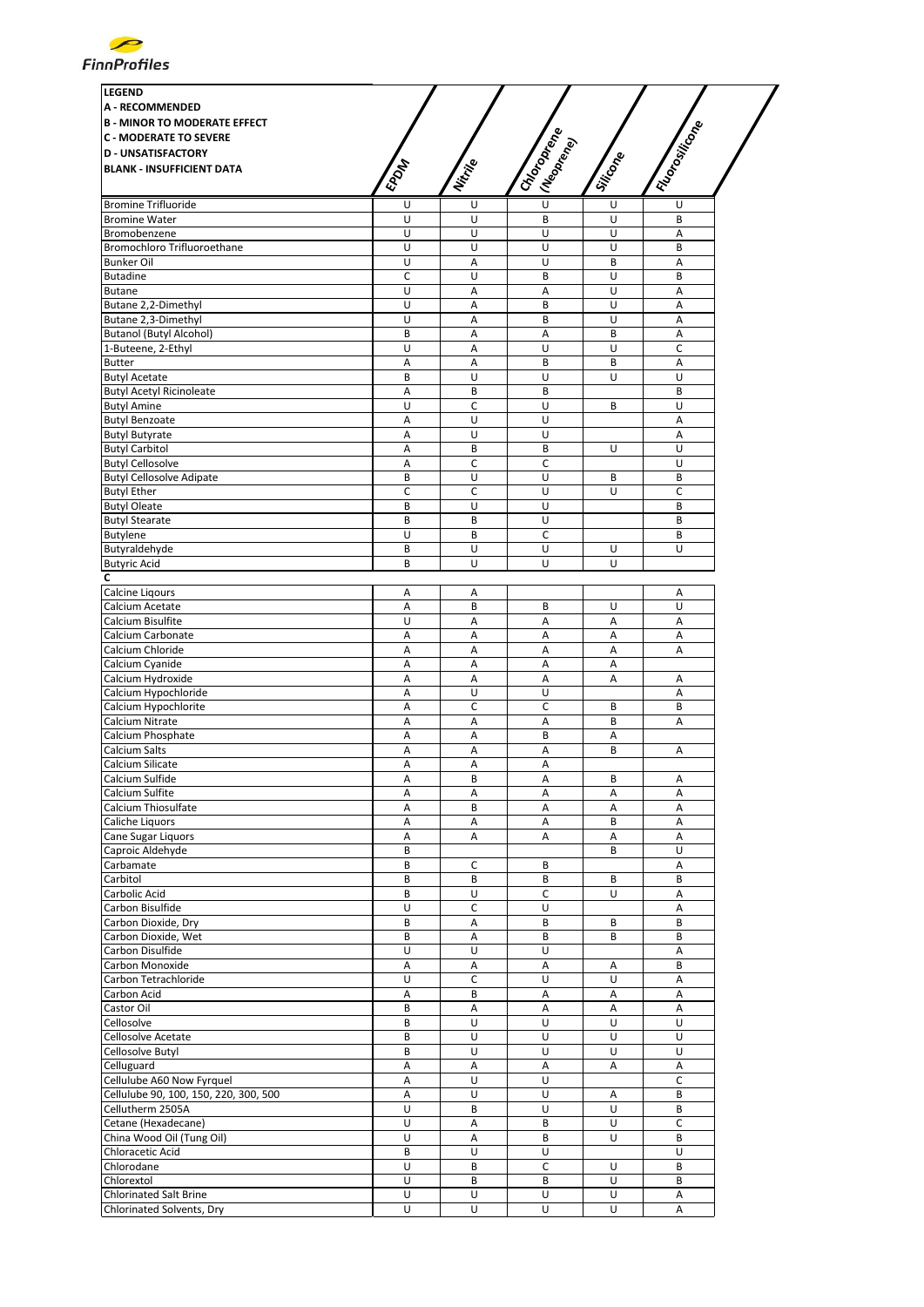

| <b>LEGEND</b><br><b>A - RECOMMENDED</b><br><b>B - MINOR TO MODERATE EFFECT</b> |             |              |                           |          |                 |
|--------------------------------------------------------------------------------|-------------|--------------|---------------------------|----------|-----------------|
| <b>C - MODERATE TO SEVERE</b>                                                  |             |              |                           |          |                 |
| <b>D - UNSATISFACTORY</b>                                                      |             |              |                           |          |                 |
| <b>BLANK - INSUFFICIENT DATA</b>                                               | <b>EPOM</b> | Nitrije      | I Choronego<br>I Meaprene | Siticone | I Florositicone |
| <b>Bromine Trifluoride</b>                                                     | U           | U            | $\overline{\mathsf{U}}$   | U        | U               |
| <b>Bromine Water</b>                                                           | U           | U            | B                         | U        | B               |
| Bromobenzene                                                                   | U           | U            | U                         | U        | Α               |
| Bromochloro Trifluoroethane                                                    | U           | U            | U                         | U        | B               |
| <b>Bunker Oil</b>                                                              | U           | A            | U                         | B        | $\overline{A}$  |
| <b>Butadine</b>                                                                | C           | U            | B                         | U        | B               |
| <b>Butane</b>                                                                  | U           | A            | A                         | U        | A               |
| Butane 2,2-Dimethyl                                                            | U           | A            | B                         | U        | A               |
| Butane 2,3-Dimethyl                                                            | U           | Α            | B                         | U        | Α               |
| <b>Butanol (Butyl Alcohol)</b>                                                 | B           | Α            | Α                         | B        | Α               |
| 1-Buteene, 2-Ethyl                                                             |             |              | U                         |          |                 |
|                                                                                | U           | Α            |                           | U        | c               |
| <b>Butter</b>                                                                  | A           | A            | B                         | B        | A               |
| <b>Butyl Acetate</b>                                                           | B           | U            | U                         | U        | U               |
| <b>Butyl Acetyl Ricinoleate</b>                                                | А           | B            | B                         |          | B               |
| <b>Butyl Amine</b>                                                             | U           | C            | U                         | B        | U               |
| <b>Butyl Benzoate</b>                                                          | A           | U            | U                         |          | Α               |
| <b>Butyl Butyrate</b>                                                          | А           | U            | U                         |          | Α               |
| <b>Butyl Carbitol</b>                                                          | A           | B            | B                         | U        | U               |
| <b>Butyl Cellosolve</b>                                                        | А           | C            | C                         |          | U               |
| <b>Butyl Cellosolve Adipate</b>                                                | B           | U            | U                         | B        | B               |
| <b>Butyl Ether</b>                                                             | $\mathsf C$ | $\mathsf{C}$ | U                         | U        | $\mathsf C$     |
| <b>Butyl Oleate</b>                                                            | B           | U            | U                         |          | B               |
| <b>Butyl Stearate</b>                                                          | B           | В            | U                         |          | B               |
| <b>Butylene</b>                                                                | U           | В            | C                         |          | B               |
|                                                                                |             |              | U                         |          |                 |
| Butyraldehyde                                                                  | B           | U            |                           | U        | U               |
| <b>Butyric Acid</b>                                                            | B           | U            | U                         | U        |                 |
| C                                                                              |             |              |                           |          |                 |
| <b>Calcine Ligours</b>                                                         | Α           | Α            |                           |          | Α               |
| Calcium Acetate                                                                | Α           | B            | B                         | U        | U               |
| Calcium Bisulfite                                                              | U           | Α            | Α                         | Α        | Α               |
| Calcium Carbonate                                                              | A           | A            | A                         | Α        | A               |
| Calcium Chloride                                                               | Α           | Α            | Α                         | A        | А               |
| Calcium Cyanide                                                                | Α           | А            | Α                         | Α        |                 |
| Calcium Hydroxide                                                              | А           | Α            | Α                         | Α        | Α               |
| Calcium Hypochloride                                                           | Α           | U            | U                         |          | Α               |
| Calcium Hypochlorite                                                           | А           | c            | C                         | B        | B               |
| Calcium Nitrate                                                                | Α           | A            | Α                         | B        | Α               |
|                                                                                |             |              |                           |          |                 |
| Calcium Phosphate                                                              | Α           | Α            | B                         | Α        |                 |
| <b>Calcium Salts</b>                                                           | Α           | Α            | А                         | B        | Α               |
| Calcium Silicate                                                               | Α           | Α            | Α                         |          |                 |
| Calcium Sulfide                                                                | Α           | В            | Α                         | В        | Α               |
| Calcium Sulfite                                                                | А           | Α            | Α                         | Α        | Α               |
| Calcium Thiosulfate                                                            | А           | B            | А                         | Α        | A               |
| Caliche Liquors                                                                | Α           | А            | А                         | B        | Α               |
| Cane Sugar Liquors                                                             | Α           | А            | А                         | Α        | Α               |
| Caproic Aldehyde                                                               | B           |              |                           | B        | U               |
| Carbamate                                                                      | B           | с            | В                         |          | Α               |
| Carbitol                                                                       | B           | В            | В                         | B        | B               |
| Carbolic Acid                                                                  | B           | U            | C                         | U        | Α               |
| Carbon Bisulfide                                                               | U           | C            | U                         |          | Α               |
|                                                                                |             |              |                           |          | B               |
| Carbon Dioxide, Dry                                                            | B           | Α            | B                         | В        |                 |
| Carbon Dioxide, Wet                                                            | B           | Α            | B                         | B        | В               |
| Carbon Disulfide                                                               | U           | U            | U                         |          | Α               |
| Carbon Monoxide                                                                | А           | Α            | Α                         | Α        | B               |
| Carbon Tetrachloride                                                           | U           | C            | U                         | U        | A               |
| Carbon Acid                                                                    | Α           | B            | Α                         | Α        | Α               |
| Castor Oil                                                                     | B           | А            | Α                         | Α        | Α               |
| Cellosolve                                                                     | B           | U            | U                         | U        | U               |
| Cellosolve Acetate                                                             | B           | U            | U                         | U        | U               |
| Cellosolve Butyl                                                               | B           | U            | U                         | U        | U               |
| Celluguard                                                                     | Α           | Α            | Α                         | Α        | Α               |
|                                                                                |             | U            | U                         |          | $\mathsf C$     |
| Cellulube A60 Now Fyrquel                                                      | Α           |              |                           |          |                 |
| Cellulube 90, 100, 150, 220, 300, 500                                          | Α           | U            | U                         | Α        | B               |
| Cellutherm 2505A                                                               | U           | B            | U                         | U        | B               |
| Cetane (Hexadecane)                                                            | U           | Α            | B                         | U        | C               |
| China Wood Oil (Tung Oil)                                                      | U           | Α            | B                         | U        | B               |
| Chloracetic Acid                                                               | B           | U            | U                         |          | U               |
| Chlorodane                                                                     | U           | B            | C                         | U        | B               |
| Chlorextol                                                                     | U           | B            | B                         | U        | B               |
| <b>Chlorinated Salt Brine</b>                                                  | U           | U            | U                         | U        | Α               |
| Chlorinated Solvents, Dry                                                      | U           | U            | U                         | U        | А               |
|                                                                                |             |              |                           |          |                 |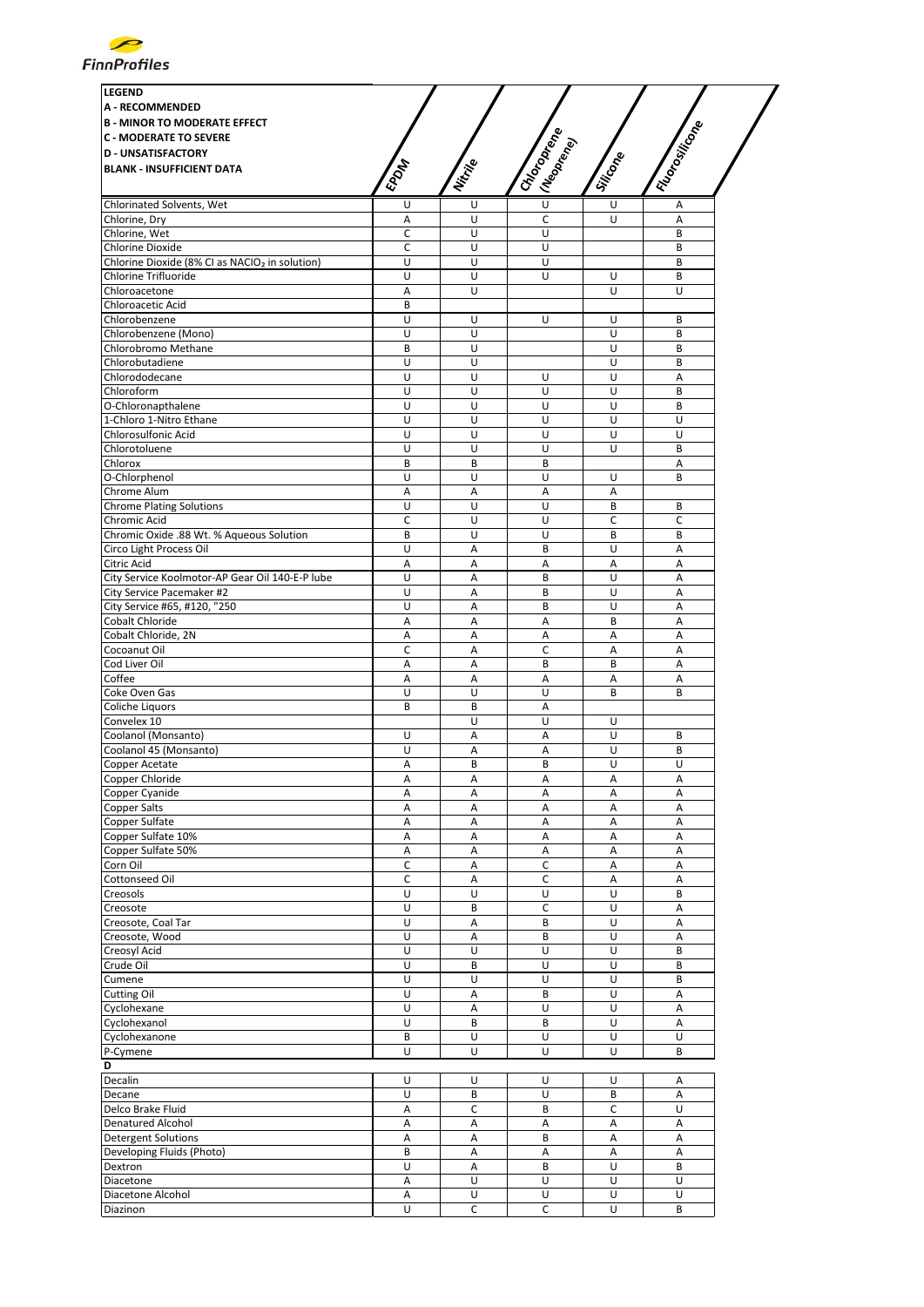

| <b>LEGEND</b>                                              |                |                |                           |             |                |
|------------------------------------------------------------|----------------|----------------|---------------------------|-------------|----------------|
| <b>A - RECOMMENDED</b>                                     |                |                |                           |             |                |
| <b>B - MINOR TO MODERATE EFFECT</b>                        |                |                |                           |             |                |
| <b>C - MODERATE TO SEVERE</b>                              |                |                |                           |             |                |
| <b>D - UNSATISFACTORY</b>                                  |                |                |                           |             |                |
| <b>BLANK - INSUFFICIENT DATA</b>                           |                |                |                           |             |                |
|                                                            | <b>EPOM</b>    | Nitrije        | I Choronego<br>I Meaprene | Siticope    | I Floresticone |
|                                                            |                |                |                           |             |                |
| Chlorinated Solvents, Wet                                  | U              | U              | $\sf U$                   | U           | Α              |
| Chlorine, Dry                                              | Α              | U              | $\mathsf C$               | $\cup$      | A              |
| Chlorine, Wet                                              | C              | U              | U                         |             | B              |
| Chlorine Dioxide                                           | C              | U              | U                         |             | B              |
| Chlorine Dioxide (8% CI as NACIO <sub>2</sub> in solution) | U              | U              | U                         |             | B              |
| Chlorine Trifluoride                                       | U              | U              | U                         | U           | B<br>U         |
| Chloroacetone                                              | Α              | U              |                           | U           |                |
| Chloroacetic Acid                                          | B              |                |                           |             |                |
| Chlorobenzene<br>Chlorobenzene (Mono)                      | U<br>U         | U<br>U         | U                         | U<br>U      | B<br>B         |
| Chlorobromo Methane                                        | B              | U              |                           | U           | B              |
| Chlorobutadiene                                            | U              | U              |                           | U           | B              |
| Chlorododecane                                             | U              | U              | U                         | U           | Α              |
| Chloroform                                                 | Ù              | U              | U                         | U           | B              |
| O-Chloronapthalene                                         | U              | U              | U                         | U           | B              |
| 1-Chloro 1-Nitro Ethane                                    | U              | U              | U                         | U           | U              |
| <b>Chlorosulfonic Acid</b>                                 | U              | U              | U                         | U           | U              |
| Chlorotoluene                                              | U              | U              | U                         | U           | B              |
| Chlorox                                                    | B              | B              | B                         |             | Α              |
| O-Chlorphenol                                              | U              | U              | U                         | U           | B              |
| Chrome Alum                                                | А              | Α              | Α                         | Α           |                |
| <b>Chrome Plating Solutions</b>                            | U              | U              | U                         | B           | B              |
| Chromic Acid                                               | C              | U              | U                         | $\mathsf C$ | C              |
| Chromic Oxide .88 Wt. % Aqueous Solution                   | B              | U              | U                         | B           | B              |
| Circo Light Process Oil                                    | U              | A              | B                         | U           | A              |
| Citric Acid                                                | А              | Α              | А                         | Α           | Α              |
| City Service Koolmotor-AP Gear Oil 140-E-P lube            | U              | Α              | B                         | U           | A              |
| City Service Pacemaker #2                                  | U              | Α              | B                         | U           | A              |
| City Service #65, #120, "250                               | U              | $\overline{A}$ | B                         | U           | A              |
| Cobalt Chloride                                            | Α              | Α              | A                         | B           | A              |
| Cobalt Chloride, 2N                                        | Α              | Α              | А                         | А           | A              |
| Cocoanut Oil                                               | C              | Α              | C                         | Α           | А              |
| Cod Liver Oil                                              | Α              | Α              | B                         | B           | Α              |
| Coffee                                                     | А              | Α              | Α                         | Α           | А              |
| Coke Oven Gas                                              | U              | U              | U                         | B           | B              |
| Coliche Liquors                                            | B              | B              | Α                         |             |                |
| Convelex 10                                                |                | U              | U                         | U           |                |
| Coolanol (Monsanto)                                        | U              | Α              | Α                         | U           | B              |
| Coolanol 45 (Monsanto)                                     | U              | A              | A                         | U           | B              |
| <b>Copper Acetate</b>                                      | Α              | B              | B                         | U           | U              |
| Copper Chloride                                            | Α              | Α              | Α                         | Α           | Α              |
| Copper Cyanide                                             | Α              | Α              | A                         | Α           | A              |
| Copper Salts                                               | А              | Α              | Α                         | Α           | А              |
| Copper Sulfate                                             | А              | Α              | A                         | Α           | Α              |
| Copper Sulfate 10%                                         | А              | Α              | Α                         | Α           | А              |
| Copper Sulfate 50%                                         | Α              | Α              | А                         | Α           | Α              |
| Corn Oil                                                   | С              | Α              | C                         | Α           | А              |
| Cottonseed Oil                                             | $\mathsf C$    | Α              | C                         | Α           | Α              |
| Creosols                                                   | U              | U              | U                         | U           | B              |
| Creosote                                                   | U              | B              | С                         | U           | Α              |
| Creosote, Coal Tar                                         | $\overline{U}$ | Α              | B                         | U           | Α              |
| Creosote, Wood                                             | U              | Α              | B                         | U           | Α              |
| Creosyl Acid                                               | U              | U              | U                         | U           | B              |
| Crude Oil                                                  | U              | B              | U                         | U           | B              |
| Cumene                                                     | U              | U              | U                         | U           | B              |
| Cutting Oil                                                | U              | Α              | B                         | U           | А              |
| Cyclohexane                                                | U              | Α              | U                         | U           | Α              |
| Cyclohexanol                                               | U              | В              | B                         | U           | А              |
| Cyclohexanone                                              | В              | U              | U                         | U           | U              |
| P-Cymene                                                   | U              | U              | U                         | U           | B              |
| D                                                          |                |                |                           |             |                |
| Decalin                                                    | U              | U              | U                         | U           | Α              |
| Decane                                                     | U              | B              | U                         | B           | Α              |
| Delco Brake Fluid                                          | А              | $\mathsf{C}$   | B                         | C           | U              |
| <b>Denatured Alcohol</b>                                   | Α              | Α              | Α                         | Α           | Α              |
| <b>Detergent Solutions</b>                                 | Α              | Α              | B                         | Α           | A              |
| Developing Fluids (Photo)                                  | B              | Α              | Α                         | Α           | А              |
| Dextron                                                    | U              | Α              | B                         | U           | B              |
| Diacetone                                                  | Α              | U              | U                         | U           | U              |
| Diacetone Alcohol                                          | А              | U              | U                         | U           | U              |
| Diazinon                                                   | U              | C              | C                         | U           | B              |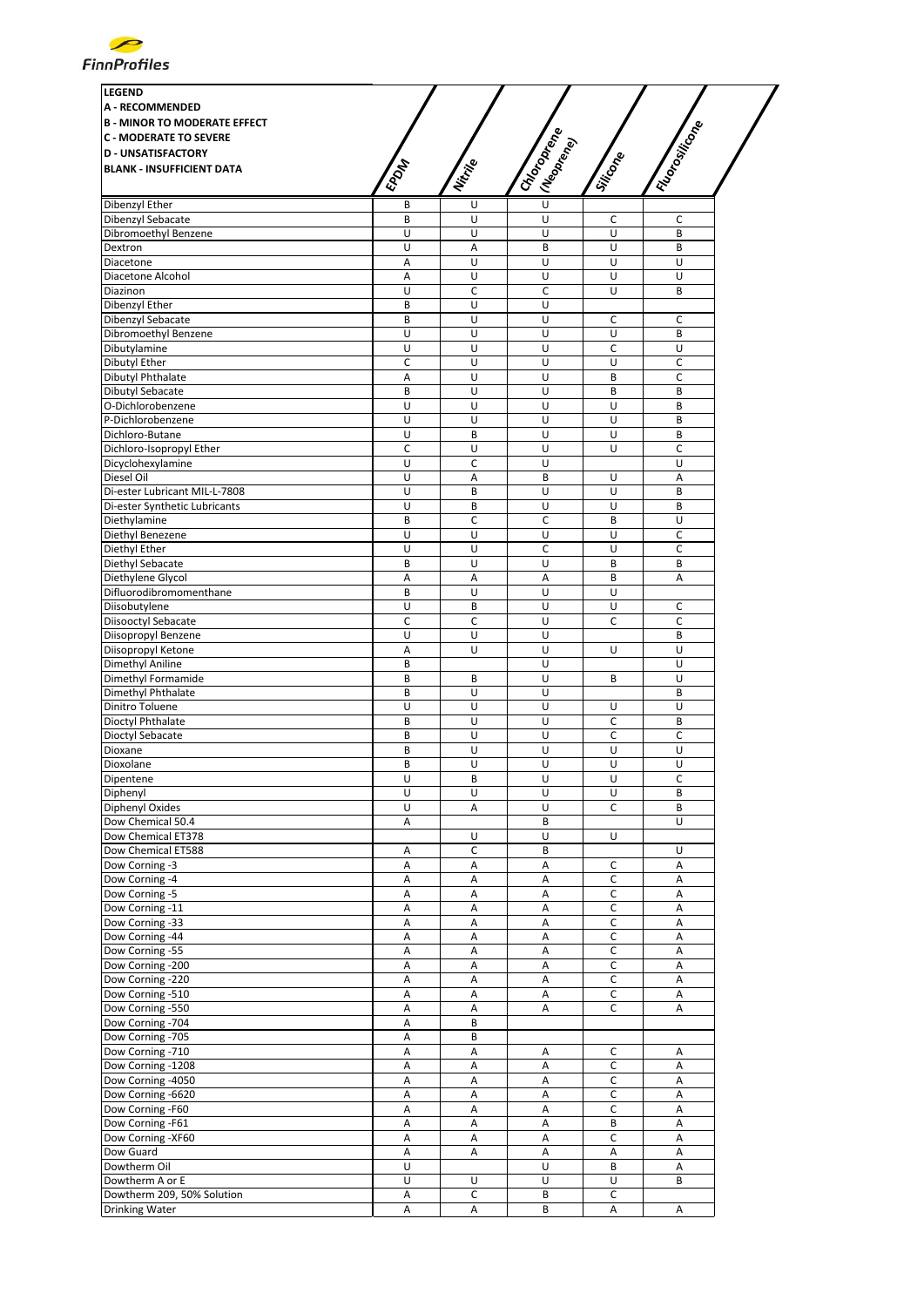

| <b>LEGEND</b>                       |             |                |                           |              |               |
|-------------------------------------|-------------|----------------|---------------------------|--------------|---------------|
| <b>A - RECOMMENDED</b>              |             |                |                           |              |               |
| <b>B - MINOR TO MODERATE EFFECT</b> |             |                |                           |              | I Floronikone |
|                                     |             |                |                           |              |               |
| <b>C - MODERATE TO SEVERE</b>       |             |                |                           |              |               |
| <b>D - UNSATISFACTORY</b>           |             |                |                           |              |               |
| <b>BLANK - INSUFFICIENT DATA</b>    |             |                |                           |              |               |
|                                     | <b>EPOM</b> | Nitrille       | I Choronego<br>(Neoprend) | Siticope     |               |
|                                     |             |                | $\cup$                    |              |               |
| Dibenzyl Ether                      | В           | U              |                           |              |               |
| Dibenzyl Sebacate                   | B           | U              | U                         | C            | C             |
| Dibromoethyl Benzene                | U           | U              | U                         | U            | B             |
| Dextron                             | U           | Α              | B                         | U            | B             |
| Diacetone                           | A           | U              | U                         | Ù            | Ù             |
| Diacetone Alcohol                   | Α           | U              | U                         | U            | U             |
| Diazinon                            | U           | c              | C                         | U            | B             |
| Dibenzyl Ether                      | B           | U              | U                         |              |               |
| Dibenzyl Sebacate                   | B           | U              | U                         | C            | C             |
| Dibromoethyl Benzene                | U           | U              | U                         | U            | B             |
| Dibutylamine                        | U           | U              | U                         | C            | U             |
| Dibutyl Ether                       | C           | U              | U                         | U            | $\mathsf C$   |
| Dibutyl Phthalate                   | Α           | U              | U                         | B            | c             |
|                                     | B           | U              | U                         | B            | B             |
| Dibutyl Sebacate                    |             |                |                           |              |               |
| O-Dichlorobenzene                   | U           | U              | U                         | U            | B<br>B        |
| P-Dichlorobenzene                   | U           | U              | U                         | U            |               |
| Dichloro-Butane                     | U           | B              | U                         | U            | B             |
| Dichloro-Isopropyl Ether            | $\mathsf C$ | U              | U                         | U            | $\mathsf{C}$  |
| Dicyclohexylamine                   | U           | c              | U                         |              | U             |
| Diesel Oil                          | U           | $\overline{A}$ | B                         | U            | A             |
| Di-ester Lubricant MIL-L-7808       | U           | B              | U                         | U            | B             |
| Di-ester Synthetic Lubricants       | U           | B              | U                         | U            | B             |
| Diethylamine                        | B           | C              | C                         | B            | U             |
| Diethyl Benezene                    | U           | U              | U                         | U            | C             |
| Diethyl Ether                       | U           | U              | С                         | U            | C             |
| Diethyl Sebacate                    | B           | U              | U                         | B            | B             |
| Diethylene Glycol                   | А           | Α              | А                         | B            | A             |
| Difluorodibromomenthane             | B           | U              | U                         | U            |               |
|                                     | U           | B              |                           | U            |               |
| Diisobutylene                       |             |                | U                         |              | C             |
| Diisooctyl Sebacate                 | $\mathsf C$ | c              | U                         | C            | C             |
| Diisopropyl Benzene                 | U           | U              | U                         |              | B             |
| Diisopropyl Ketone                  | А           | U              | U                         | U            | U             |
| Dimethyl Aniline                    | B           |                | U                         |              | U             |
| Dimethyl Formamide                  | B           | B              | U                         | B            | U             |
| Dimethyl Phthalate                  | B           | U              | U                         |              | B             |
| Dinitro Toluene                     | U           | U              | U                         | U            | U             |
| Dioctyl Phthalate                   | B           | U              | U                         | C            | B             |
| Dioctyl Sebacate                    | B           | U              | U                         | $\mathsf C$  | $\mathsf C$   |
| Dioxane                             | B           | U              | U                         | U            | U             |
| Dioxolane                           | B           | U              | U                         | U            | U             |
| Dipentene                           | U           | В              | U                         | U            | c             |
| Diphenyl                            | U           | U              | U                         | U            | B             |
| Diphenyl Oxides                     | U           | Α              | U                         | c            | B             |
|                                     |             |                |                           |              |               |
| Dow Chemical 50.4                   | Α           |                | B                         |              | U             |
| Dow Chemical ET378                  |             | U              | U                         | U            |               |
| Dow Chemical ET588                  | Α           | C              | B                         |              | U             |
| Dow Corning -3                      | Α           | Α              | Α                         | С            | Α             |
| Dow Corning -4                      | А           | А              | А                         | С            | Α             |
| Dow Corning -5                      | Α           | А              | Α                         | $\mathsf C$  | А             |
| Dow Corning -11                     | Α           | Α              | Α                         | с            | Α             |
| Dow Corning -33                     | Α           | Α              | Α                         | $\mathsf C$  | А             |
| Dow Corning -44                     | Α           | Α              | Α                         | C            | Α             |
| Dow Corning -55                     | Α           | Α              | Α                         | C            | Α             |
| Dow Corning -200                    | Α           | Α              | Α                         | C            | Α             |
| Dow Corning -220                    | Α           | Α              | Α                         | C            | Α             |
| Dow Corning -510                    | Α           | Α              | Α                         | с            | Α             |
| Dow Corning -550                    | А           | А              | Α                         | C            | Α             |
|                                     |             |                |                           |              |               |
| Dow Corning -704                    | Α           | B              |                           |              |               |
| Dow Corning -705                    | Α           | B              |                           |              |               |
| Dow Corning -710                    | Α           | Α              | Α                         | с            | Α             |
| Dow Corning -1208                   | Α           | Α              | Α                         | C            | Α             |
| Dow Corning -4050                   | Α           | Α              | Α                         | С            | А             |
| Dow Corning -6620                   | Α           | Α              | Α                         | С            | Α             |
| Dow Corning -F60                    | Α           | Α              | А                         | C            | Α             |
| Dow Corning -F61                    | Α           | Α              | Α                         | B            | Α             |
| Dow Corning -XF60                   | Α           | Α              | А                         | C            | Α             |
| Dow Guard                           | Α           | Α              | Α                         | Α            | Α             |
| Dowtherm Oil                        | U           |                | U                         | B            | A             |
| Dowtherm A or E                     | U           | U              | U                         | U            | B             |
| Dowtherm 209, 50% Solution          | Α           | C              | B                         | $\mathsf{C}$ |               |
|                                     | А           |                | B                         |              | А             |
| Drinking Water                      |             | А              |                           | Α            |               |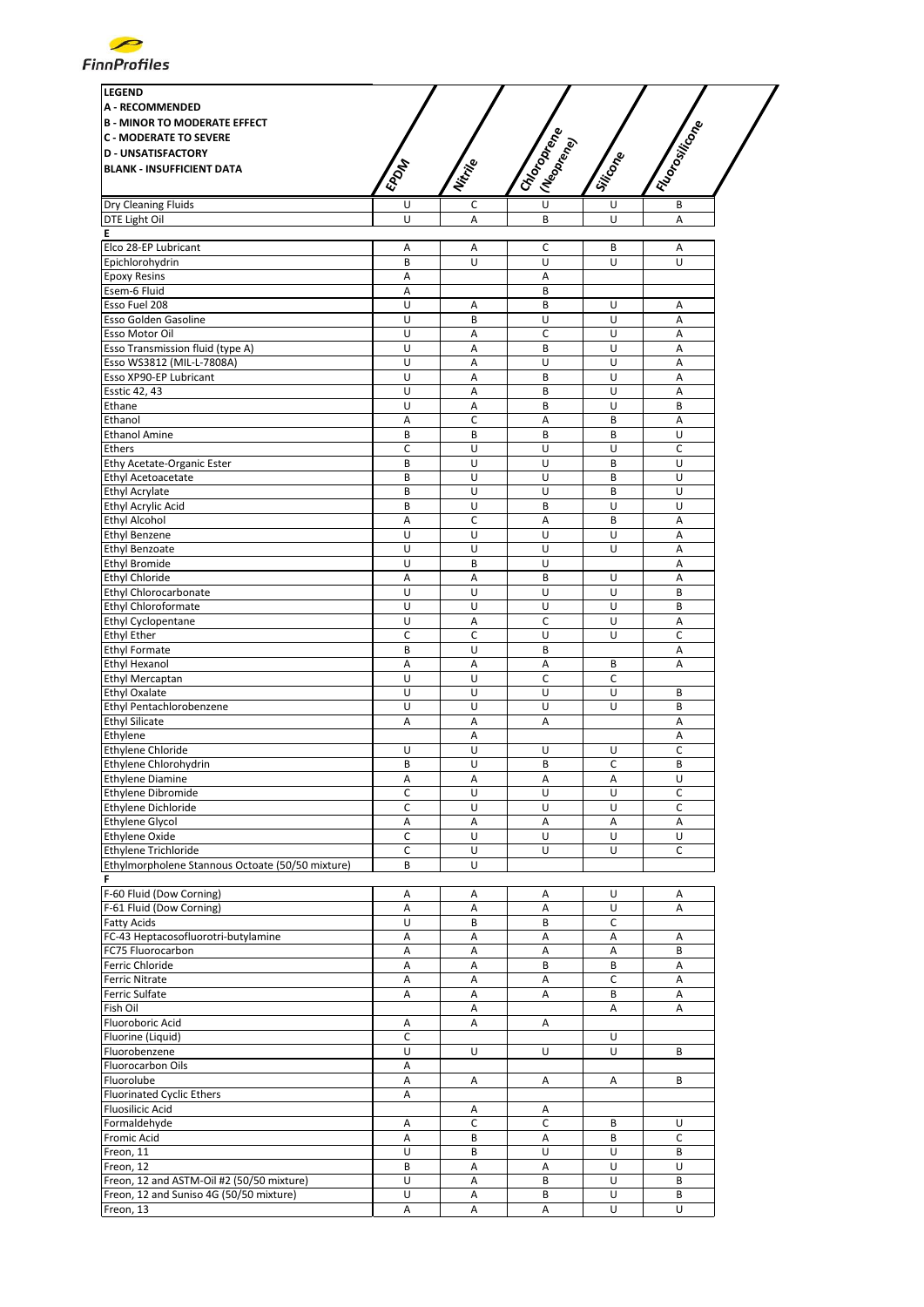

| <b>LEGEND</b><br><b>A - RECOMMENDED</b><br><b>B - MINOR TO MODERATE EFFECT</b><br><b>C - MODERATE TO SEVERE</b><br><b>D - UNSATISFACTORY</b><br><b>BLANK - INSUFFICIENT DATA</b> | EPOM | Nitrije | I Choronego<br>I (Neoprend) | Siticope | I Floromicon |
|----------------------------------------------------------------------------------------------------------------------------------------------------------------------------------|------|---------|-----------------------------|----------|--------------|
| Dry Cleaning Fluids                                                                                                                                                              | U    | c       | Ù                           | U        | B            |
| DTE Light Oil                                                                                                                                                                    | U    | A       | B                           | U        | A            |
| Е                                                                                                                                                                                |      |         |                             |          |              |
| Elco 28-EP Lubricant                                                                                                                                                             | Α    | Α       | c                           | B        | Α            |
| Epichlorohydrin                                                                                                                                                                  | B    | U       | U                           | U        | U            |
| <b>Epoxy Resins</b>                                                                                                                                                              | Α    |         | Α                           |          |              |
| Esem-6 Fluid                                                                                                                                                                     | Α    |         | B                           |          |              |
| Esso Fuel 208                                                                                                                                                                    | U    | Α       | B                           | U        | Α            |
| Esso Golden Gasoline                                                                                                                                                             | U    | B       | U                           | U        | Α            |
| Esso Motor Oil                                                                                                                                                                   | U    | Α       | C                           | U        | Α            |
| Esso Transmission fluid (type A)                                                                                                                                                 | U    | A       | B                           | U        | A            |
| Esso WS3812 (MIL-L-7808A)                                                                                                                                                        | U    | A       | U                           | U        | A            |
| Esso XP90-EP Lubricant                                                                                                                                                           | U    | A       | B                           | U        | A            |
| <b>Esstic 42, 43</b>                                                                                                                                                             | U    | Α       | B                           | U        | Α            |
| Ethane                                                                                                                                                                           | U    | A       | B                           | U        | B            |
| Ethanol                                                                                                                                                                          | Α    | c       | Α                           | B        | Α            |
| <b>Ethanol Amine</b>                                                                                                                                                             | B    | B       | B                           | B        | U            |
| Ethers                                                                                                                                                                           | C    | U       | U                           | U        | C            |
| Ethy Acetate-Organic Ester                                                                                                                                                       | B    | U       | U                           | B        | U            |
| Ethyl Acetoacetate                                                                                                                                                               | B    | U       | U                           | B        | U            |
| <b>Ethyl Acrylate</b>                                                                                                                                                            | B    | U       | U                           | B        | U            |
| Ethyl Acrylic Acid                                                                                                                                                               | B    | U       | B                           | U        | U            |
| <b>Ethyl Alcohol</b>                                                                                                                                                             | A    | C       | A                           | B        | A            |
| <b>Ethyl Benzene</b>                                                                                                                                                             | U    | U       | U                           | U        | A            |
| Ethyl Benzoate                                                                                                                                                                   | U    | U       | U                           | U        | A            |
| <b>Ethyl Bromide</b>                                                                                                                                                             | U    | B       | U                           |          | A            |
| <b>Ethyl Chloride</b>                                                                                                                                                            | Α    | A       | B                           | U        | A            |
| Ethyl Chlorocarbonate                                                                                                                                                            | U    | U       | U                           | U        | B            |
| Ethyl Chloroformate                                                                                                                                                              | U    | U       | U                           | U        | B            |
| <b>Ethyl Cyclopentane</b>                                                                                                                                                        | U    | A       | C                           | U        | Α            |
| <b>Ethyl Ether</b>                                                                                                                                                               | C    | C       | U                           | U        | C            |
| <b>Ethyl Formate</b>                                                                                                                                                             | B    | U       | B                           |          | A            |
| <b>Ethyl Hexanol</b>                                                                                                                                                             | Α    | Α       | Α                           | B        | Α            |
| <b>Ethyl Mercaptan</b>                                                                                                                                                           | U    | U       | C                           | C        |              |
| <b>Ethyl Oxalate</b>                                                                                                                                                             | U    | U       | U                           | U        | B            |
| Ethyl Pentachlorobenzene                                                                                                                                                         | U    | U       | U                           | U        | B            |
| <b>Ethyl Silicate</b>                                                                                                                                                            | Α    | Α       | Α                           |          | A            |
| Ethylene<br>Ethylene Chloride                                                                                                                                                    | U    | Α       |                             |          | Α<br>C       |
|                                                                                                                                                                                  | B    | U<br>U  | U<br>B                      | U<br>C   | B            |
| Ethylene Chlorohydrin<br><b>Ethylene Diamine</b>                                                                                                                                 | Α    | Α       | Α                           | Α        | U            |
| <b>Ethylene Dibromide</b>                                                                                                                                                        | C    | U       | U                           | U        | C            |
| <b>Ethylene Dichloride</b>                                                                                                                                                       | C    | U       | U                           | U        | C            |
| <b>Ethylene Glycol</b>                                                                                                                                                           | Α    | Α       | Α                           | Α        | Α            |
| <b>Ethylene Oxide</b>                                                                                                                                                            | C    | U       | U                           | U        | U            |
| <b>Ethylene Trichloride</b>                                                                                                                                                      | С    | U       | U                           | U        | C            |
| Ethylmorpholene Stannous Octoate (50/50 mixture)                                                                                                                                 | B    | U       |                             |          |              |
| F                                                                                                                                                                                |      |         |                             |          |              |
| F-60 Fluid (Dow Corning)                                                                                                                                                         | Α    | Α       | Α                           | U        | Α            |
| F-61 Fluid (Dow Corning)                                                                                                                                                         | Α    | A       | Α                           | U        | А            |
| Fatty Acids                                                                                                                                                                      | U    | В       | B                           | С        |              |
| FC-43 Heptacosofluorotri-butylamine                                                                                                                                              | Α    | Α       | Α                           | Α        | Α            |
| FC75 Fluorocarbon                                                                                                                                                                | Α    | Α       | Α                           | Α        | B            |
| Ferric Chloride                                                                                                                                                                  | A    | А       | B                           | B        | А            |
| <b>Ferric Nitrate</b>                                                                                                                                                            | Α    | Α       | Α                           | C        | Α            |
| Ferric Sulfate                                                                                                                                                                   | А    | А       | Α                           | B        | Α            |
| Fish Oil                                                                                                                                                                         |      | Α       |                             | Α        | Α            |
| Fluoroboric Acid                                                                                                                                                                 | Α    | Α       | Α                           |          |              |
| Fluorine (Liquid)                                                                                                                                                                | C    |         |                             | U        |              |
| Fluorobenzene                                                                                                                                                                    | U    | U       | U                           | U        | В            |
| Fluorocarbon Oils                                                                                                                                                                | Α    |         |                             |          |              |
| Fluorolube                                                                                                                                                                       | Α    | Α       | Α                           | Α        | B            |
| Fluorinated Cyclic Ethers                                                                                                                                                        | Α    |         |                             |          |              |
| <b>Fluosilicic Acid</b>                                                                                                                                                          |      | Α       | Α                           |          |              |
| Formaldehyde                                                                                                                                                                     | Α    | C       | C                           | В        | U            |
| Fromic Acid                                                                                                                                                                      | Α    | B       | Α                           | B        | c            |
| Freon, 11                                                                                                                                                                        | U    | B       | U                           | U        | B            |
| Freon, 12                                                                                                                                                                        | В    | Α       | Α                           | U        | U            |
| Freon, 12 and ASTM-Oil #2 (50/50 mixture)                                                                                                                                        | U    | Α       | B                           | U        | B            |
| Freon, 12 and Suniso 4G (50/50 mixture)                                                                                                                                          | U    | Α       | B                           | U        | B            |
| Freon, 13                                                                                                                                                                        | А    | Α       | А                           | U        | U            |
|                                                                                                                                                                                  |      |         |                             |          |              |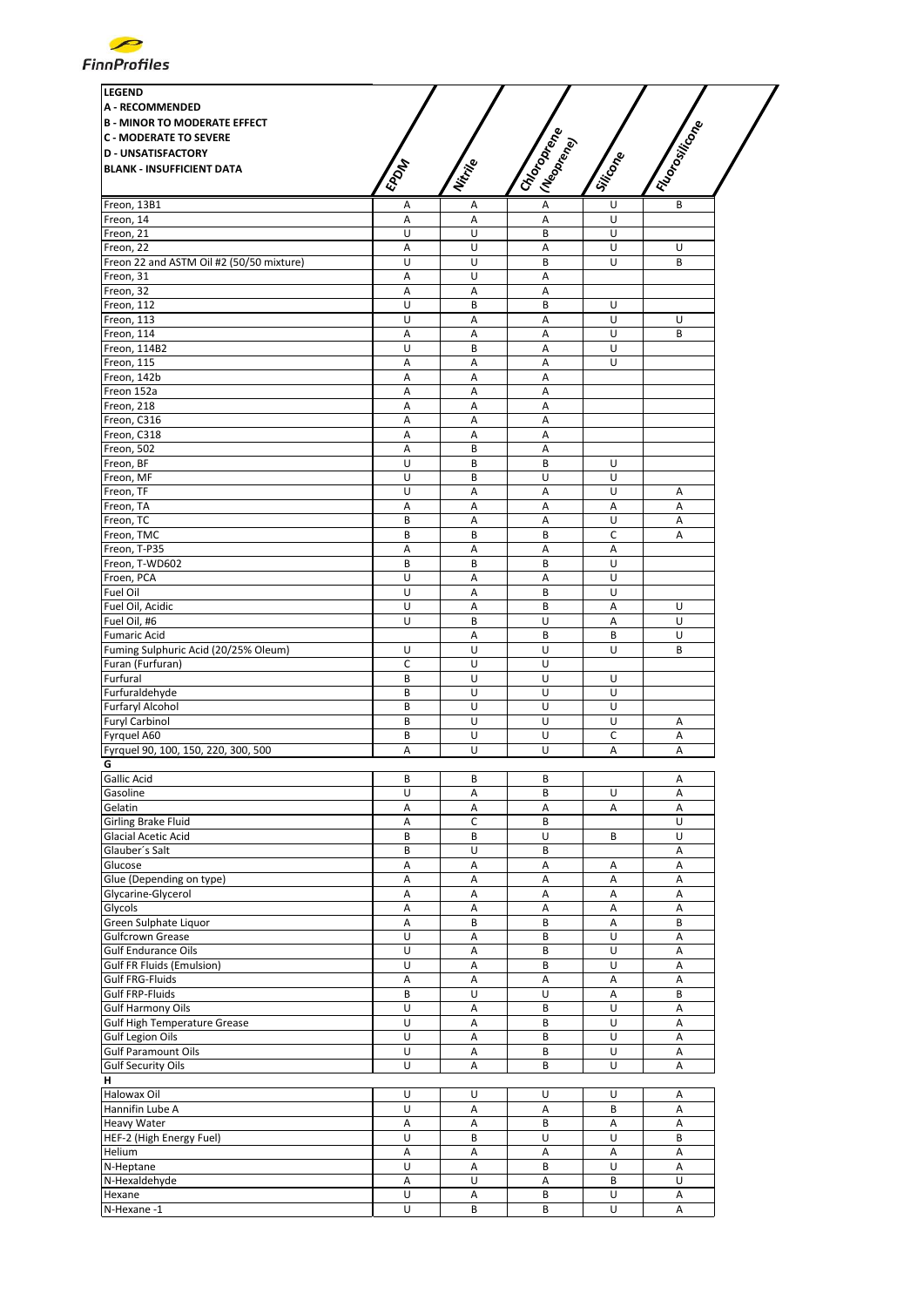

| <b>LEGEND</b><br><b>A - RECOMMENDED</b><br><b>B - MINOR TO MODERATE EFFECT</b><br><b>C - MODERATE TO SEVERE</b><br><b>D - UNSATISFACTORY</b><br><b>BLANK - INSUFFICIENT DATA</b> | EPOM                    | Nitrije | I Choronego<br>I (Neoprend) | Siticone | I Floresticon |
|----------------------------------------------------------------------------------------------------------------------------------------------------------------------------------|-------------------------|---------|-----------------------------|----------|---------------|
| Freon, 13B1                                                                                                                                                                      | А                       | Α       | A                           | U        | B             |
| Freon, 14                                                                                                                                                                        | Α                       | A       | А                           | U        |               |
| Freon, 21                                                                                                                                                                        | U                       | U       | B                           | U        |               |
| Freon, 22                                                                                                                                                                        | Α                       | U       | Α                           | U        | U             |
| Freon 22 and ASTM Oil #2 (50/50 mixture)                                                                                                                                         | U                       | U       | B                           | U        | B             |
| Freon. 31                                                                                                                                                                        | A                       | U       | A                           |          |               |
| Freon, 32                                                                                                                                                                        | Α                       | Α       | Α                           |          |               |
| Freon, 112                                                                                                                                                                       | U                       | B       | B                           | U        |               |
| Freon, 113                                                                                                                                                                       | U                       | Α       | Α                           | U        | U             |
| Freon, 114                                                                                                                                                                       | Α                       | Α       | Α                           | U        | B             |
| Freon, 114B2                                                                                                                                                                     | U                       | B       | Α                           | U        |               |
| Freon, 115                                                                                                                                                                       | Α                       | A       | A                           | U        |               |
| Freon, 142b                                                                                                                                                                      | Α                       | A       | A                           |          |               |
| Freon 152a                                                                                                                                                                       | Α                       | A       | А                           |          |               |
| Freon, 218                                                                                                                                                                       | Α                       | Α       | A                           |          |               |
| Freon, C316                                                                                                                                                                      | Α                       | Α       | Α                           |          |               |
| Freon, C318                                                                                                                                                                      | А                       | Α       | Α                           |          |               |
| Freon, 502                                                                                                                                                                       | Α                       | B       | Α                           |          |               |
| Freon, BF                                                                                                                                                                        | U                       | B       | B                           | U        |               |
| Freon, MF                                                                                                                                                                        | U                       | B       | U                           | U        |               |
| Freon, TF                                                                                                                                                                        | U                       | Α       | Α                           | U        | Α             |
| Freon, TA                                                                                                                                                                        | Α                       | A       | A                           | Α        | A             |
| Freon, TC                                                                                                                                                                        | B                       | Α       | Α                           | U        | Α             |
| Freon, TMC                                                                                                                                                                       | B                       | B       | B                           | C        | Α             |
| Freon, T-P35                                                                                                                                                                     | Α                       | A       | A                           | A        |               |
| Freon, T-WD602                                                                                                                                                                   | B                       | B       | B                           | U        |               |
| Froen, PCA                                                                                                                                                                       | U                       | A       | A                           | U        |               |
| Fuel Oil                                                                                                                                                                         | U                       | Α       | B                           | U        |               |
| Fuel Oil, Acidic                                                                                                                                                                 | U                       | Α       | B                           | Α        | U             |
| Fuel Oil, #6                                                                                                                                                                     | U                       | B       | U                           | Α        | U             |
| <b>Fumaric Acid</b>                                                                                                                                                              |                         | Α       | B                           | B        | U             |
| Fuming Sulphuric Acid (20/25% Oleum)                                                                                                                                             | U                       | U       | U                           | U        | B             |
| Furan (Furfuran)                                                                                                                                                                 | C                       | U       | U                           |          |               |
| Furfural                                                                                                                                                                         | B                       | U       | U                           | U        |               |
| Furfuraldehyde                                                                                                                                                                   | B                       | U       | U                           | U        |               |
| <b>Furfaryl Alcohol</b>                                                                                                                                                          | B                       | U       | U                           | U        |               |
| <b>Furyl Carbinol</b>                                                                                                                                                            | B                       | U       | U                           | U        | A             |
| Fyrquel A60                                                                                                                                                                      | B                       | U       | U                           | C        | Α             |
| Fyrquel 90, 100, 150, 220, 300, 500                                                                                                                                              | Α                       | U       | U                           | A        | A             |
| G                                                                                                                                                                                |                         |         |                             |          |               |
| Gallic Acid                                                                                                                                                                      | В                       | В       | В                           |          | Α             |
| Gasoline                                                                                                                                                                         | U                       | A       | B                           | U        | А             |
| Gelatin                                                                                                                                                                          | Α                       | Α       | Α                           | Α        | А             |
| Girling Brake Fluid                                                                                                                                                              | Α                       | C       | B                           |          | U<br>U        |
| <b>Glacial Acetic Acid</b>                                                                                                                                                       | B                       | B       | U<br>B                      | B        |               |
| Glauber's Salt<br>Glucose                                                                                                                                                        | B<br>Α                  | U<br>A  | Α                           |          | Α<br>Α        |
| Glue (Depending on type)                                                                                                                                                         | Α                       | A       | Α                           | Α<br>Α   | Α             |
| Glycarine-Glycerol                                                                                                                                                               | А                       | A       | А                           | Α        | A             |
| Glycols                                                                                                                                                                          | Α                       | A       | А                           | Α        | А             |
| Green Sulphate Liquor                                                                                                                                                            | А                       | B       | B                           | Α        | B             |
| <b>Gulfcrown Grease</b>                                                                                                                                                          | U                       | Α       | B                           | U        | Α             |
| <b>Gulf Endurance Oils</b>                                                                                                                                                       | U                       | Α       | B                           | U        | Α             |
| Gulf FR Fluids (Emulsion)                                                                                                                                                        | U                       | А       | B                           | U        | А             |
| Gulf FRG-Fluids                                                                                                                                                                  | Α                       | Α       | Α                           | Α        | А             |
| Gulf FRP-Fluids                                                                                                                                                                  | B                       | U       | U                           | Α        | B             |
| Gulf Harmony Oils                                                                                                                                                                | U                       | Α       | В                           | U        | Α             |
| <b>Gulf High Temperature Grease</b>                                                                                                                                              | U                       | Α       | B                           | U        | Α             |
| <b>Gulf Legion Oils</b>                                                                                                                                                          | $\overline{\mathsf{U}}$ | A       | B                           | U        | Α             |
| <b>Gulf Paramount Oils</b>                                                                                                                                                       | U                       | Α       | B                           | U        | Α             |
| <b>Gulf Security Oils</b>                                                                                                                                                        | U                       | А       | B                           | U        | А             |
| н                                                                                                                                                                                |                         |         |                             |          |               |
| Halowax Oil                                                                                                                                                                      | U                       | U       | U                           | U        | Α             |
| Hannifin Lube A                                                                                                                                                                  | U                       | Α       | Α                           | B        | Α             |
| <b>Heavy Water</b>                                                                                                                                                               | Α                       | Α       | B                           | Α        | А             |
| HEF-2 (High Energy Fuel)                                                                                                                                                         | U                       | В       | U                           | U        | B             |
| Helium                                                                                                                                                                           | Α                       | Α       | Α                           | Α        | А             |
| N-Heptane                                                                                                                                                                        | U                       | A       | B                           | U        | А             |
| N-Hexaldehyde                                                                                                                                                                    | Α                       | U       | Α                           | B        | U             |
| Hexane                                                                                                                                                                           | U                       | Α       | B                           | U        | Α             |
| N-Hexane-1                                                                                                                                                                       | $\overline{U}$          | B       | B                           | U        | Α             |
|                                                                                                                                                                                  |                         |         |                             |          |               |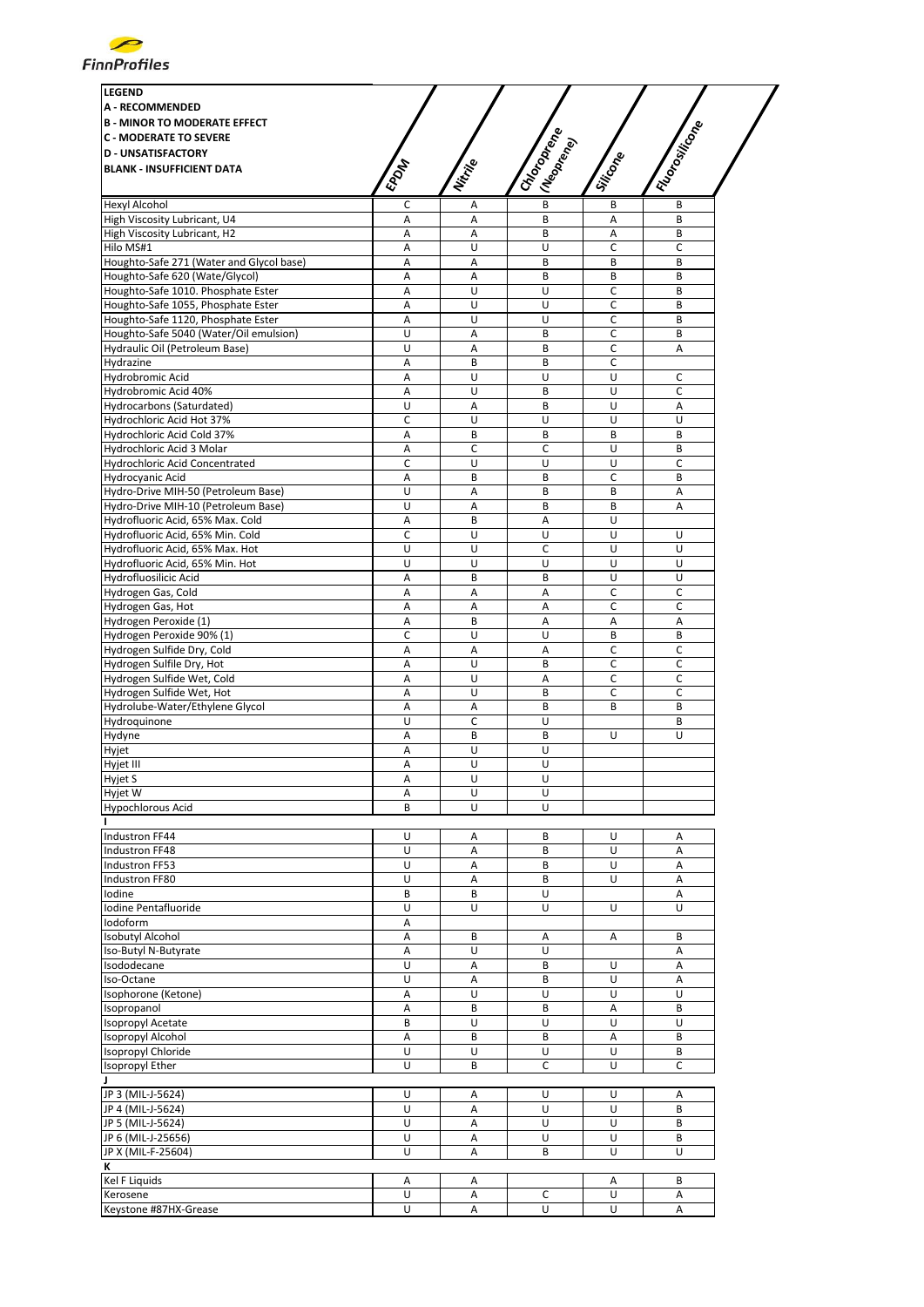

| I Floodwing<br>I Choroptene<br>I (Neopr <sub>rency)</sub><br>Siticope<br>Nitrije<br><b>EPORT</b><br>B<br>Hexyl Alcohol<br>С<br>B<br>B<br>Α<br>High Viscosity Lubricant, U4<br>A<br>B<br>Α<br>Α<br>B<br>High Viscosity Lubricant, H2<br>B<br>B<br>Α<br>Α<br>Α<br>U<br>$\mathsf C$<br>$\mathsf C$<br>Hilo MS#1<br>Α<br>U<br>Houghto-Safe 271 (Water and Glycol base)<br>Α<br>Α<br>B<br>B<br>B<br>Houghto-Safe 620 (Wate/Glycol)<br>B<br>B<br>B<br>А<br>A<br>Houghto-Safe 1010. Phosphate Ester<br>U<br>U<br>C<br>B<br>Α<br>Houghto-Safe 1055, Phosphate Ester<br>U<br>C<br>А<br>U<br>B<br>Houghto-Safe 1120, Phosphate Ester<br>U<br>U<br>C<br>B<br>Α<br>U<br>C<br>Houghto-Safe 5040 (Water/Oil emulsion)<br>А<br>B<br>B<br>Hydraulic Oil (Petroleum Base)<br>U<br>A<br>B<br>C<br>Α<br>$\mathsf C$<br>Hydrazine<br>А<br>B<br>B<br>Hydrobromic Acid<br>U<br>А<br>U<br>U<br>C<br>U<br>U<br>$\mathsf C$<br>Hydrobromic Acid 40%<br>А<br>B<br>Hydrocarbons (Saturdated)<br>U<br>U<br>A<br>Α<br>B<br>C<br>Hydrochloric Acid Hot 37%<br>U<br>U<br>U<br>U<br>Hydrochloric Acid Cold 37%<br>Α<br>B<br>B<br>B<br>B<br>Hydrochloric Acid 3 Molar<br>А<br>C<br>U<br>B<br>c<br>$\mathsf C$<br>U<br>U<br>$\mathsf C$<br>Hydrochloric Acid Concentrated<br>U<br>Hydrocyanic Acid<br>C<br>B<br>Α<br>B<br>B<br>Hydro-Drive MIH-50 (Petroleum Base)<br>U<br>B<br>B<br>Α<br>Α<br>Hydro-Drive MIH-10 (Petroleum Base)<br>U<br>A<br>B<br>B<br>A<br>Hydrofluoric Acid, 65% Max. Cold<br>А<br>А<br>U<br>B<br>Hydrofluoric Acid, 65% Min. Cold<br>C<br>U<br>U<br>U<br>U<br>C<br>U<br>$\cup$<br>Hydrofluoric Acid, 65% Max. Hot<br>U<br>U<br>U<br>U<br>U<br>U<br>U<br>Hydrofluoric Acid, 65% Min. Hot<br>Hydrofluosilicic Acid<br>U<br>U<br>А<br>B<br>B<br>C<br>A<br>C<br>Hydrogen Gas, Cold<br>А<br>Α<br>Hydrogen Gas, Hot<br>А<br>Α<br>С<br>C<br>Α<br>Hydrogen Peroxide (1)<br>Α<br>A<br>A<br>B<br>Α<br>Hydrogen Peroxide 90% (1)<br>$\mathsf C$<br>U<br>U<br>B<br>B<br>Hydrogen Sulfide Dry, Cold<br>C<br>C<br>Α<br>Α<br>Α<br>Hydrogen Sulfile Dry, Hot<br>Α<br>U<br>B<br>C<br>c<br>Hydrogen Sulfide Wet, Cold<br>U<br>C<br>$\mathsf C$<br>А<br>А<br>Α<br>U<br>B<br>C<br>C<br>A<br>А<br>B<br>B<br>B<br>U<br>C<br>U<br>B<br>Α<br>B<br>B<br>U<br>U<br>U<br>U<br>А<br>U<br>U<br>Α<br>Α<br>U<br>U<br>U<br>U<br>Α<br>U<br>B<br>U<br>U<br>B<br>U<br>Α<br>Α<br>U<br>B<br>Α<br>U<br>A<br>U<br>B<br>U<br>Α<br>Α<br>U<br>B<br>U<br>Α<br>Α<br>B<br>U<br>B<br>A<br>U<br>U<br>U<br>U<br>U<br>А<br>Α<br>B<br>B<br>А<br>Α<br>U<br>U<br>Α<br>A<br>U<br>U<br>А<br>Α<br>В<br>U<br>Α<br>B<br>U<br>A<br>U<br>Α<br>U<br>U<br>U<br>B<br>B<br>Α<br>В<br>Α<br>B<br>U<br>U<br>U<br>U<br>Α<br>B<br>B<br>B<br>Α<br>U<br>U<br>U<br>U<br>B<br>U<br>C<br>U<br>C<br>B<br>U<br>U<br>U<br>Α<br>Α<br>U<br>Α<br>U<br>U<br>B<br>U<br>U<br>U<br>А<br>B<br>U<br>U<br>Α<br>U<br>B<br>U<br>Α<br>U<br>U<br>B<br>B<br>Α<br>Α<br>Α<br>U<br>С<br>U<br>Α<br>Α<br>U<br>U<br>А<br>U<br>Α | <b>LEGEND</b><br><b>A - RECOMMENDED</b><br><b>B - MINOR TO MODERATE EFFECT</b> |  |  |  |
|--------------------------------------------------------------------------------------------------------------------------------------------------------------------------------------------------------------------------------------------------------------------------------------------------------------------------------------------------------------------------------------------------------------------------------------------------------------------------------------------------------------------------------------------------------------------------------------------------------------------------------------------------------------------------------------------------------------------------------------------------------------------------------------------------------------------------------------------------------------------------------------------------------------------------------------------------------------------------------------------------------------------------------------------------------------------------------------------------------------------------------------------------------------------------------------------------------------------------------------------------------------------------------------------------------------------------------------------------------------------------------------------------------------------------------------------------------------------------------------------------------------------------------------------------------------------------------------------------------------------------------------------------------------------------------------------------------------------------------------------------------------------------------------------------------------------------------------------------------------------------------------------------------------------------------------------------------------------------------------------------------------------------------------------------------------------------------------------------------------------------------------------------------------------------------------------------------------------------------------------------------------------------------------------------------------------------------------------------------------------------------------------------------------------------------------------------------------------------------------------------------------------------------------------------------------------------------------------------------------------------------------------------------------------------------------------------------------------------------------------------------------------------------------------------------------------------------------------------------------------------------------------------------------------|--------------------------------------------------------------------------------|--|--|--|
|                                                                                                                                                                                                                                                                                                                                                                                                                                                                                                                                                                                                                                                                                                                                                                                                                                                                                                                                                                                                                                                                                                                                                                                                                                                                                                                                                                                                                                                                                                                                                                                                                                                                                                                                                                                                                                                                                                                                                                                                                                                                                                                                                                                                                                                                                                                                                                                                                                                                                                                                                                                                                                                                                                                                                                                                                                                                                                                    | <b>C - MODERATE TO SEVERE</b>                                                  |  |  |  |
|                                                                                                                                                                                                                                                                                                                                                                                                                                                                                                                                                                                                                                                                                                                                                                                                                                                                                                                                                                                                                                                                                                                                                                                                                                                                                                                                                                                                                                                                                                                                                                                                                                                                                                                                                                                                                                                                                                                                                                                                                                                                                                                                                                                                                                                                                                                                                                                                                                                                                                                                                                                                                                                                                                                                                                                                                                                                                                                    | <b>D - UNSATISFACTORY</b>                                                      |  |  |  |
|                                                                                                                                                                                                                                                                                                                                                                                                                                                                                                                                                                                                                                                                                                                                                                                                                                                                                                                                                                                                                                                                                                                                                                                                                                                                                                                                                                                                                                                                                                                                                                                                                                                                                                                                                                                                                                                                                                                                                                                                                                                                                                                                                                                                                                                                                                                                                                                                                                                                                                                                                                                                                                                                                                                                                                                                                                                                                                                    | <b>BLANK - INSUFFICIENT DATA</b>                                               |  |  |  |
|                                                                                                                                                                                                                                                                                                                                                                                                                                                                                                                                                                                                                                                                                                                                                                                                                                                                                                                                                                                                                                                                                                                                                                                                                                                                                                                                                                                                                                                                                                                                                                                                                                                                                                                                                                                                                                                                                                                                                                                                                                                                                                                                                                                                                                                                                                                                                                                                                                                                                                                                                                                                                                                                                                                                                                                                                                                                                                                    |                                                                                |  |  |  |
|                                                                                                                                                                                                                                                                                                                                                                                                                                                                                                                                                                                                                                                                                                                                                                                                                                                                                                                                                                                                                                                                                                                                                                                                                                                                                                                                                                                                                                                                                                                                                                                                                                                                                                                                                                                                                                                                                                                                                                                                                                                                                                                                                                                                                                                                                                                                                                                                                                                                                                                                                                                                                                                                                                                                                                                                                                                                                                                    |                                                                                |  |  |  |
|                                                                                                                                                                                                                                                                                                                                                                                                                                                                                                                                                                                                                                                                                                                                                                                                                                                                                                                                                                                                                                                                                                                                                                                                                                                                                                                                                                                                                                                                                                                                                                                                                                                                                                                                                                                                                                                                                                                                                                                                                                                                                                                                                                                                                                                                                                                                                                                                                                                                                                                                                                                                                                                                                                                                                                                                                                                                                                                    |                                                                                |  |  |  |
|                                                                                                                                                                                                                                                                                                                                                                                                                                                                                                                                                                                                                                                                                                                                                                                                                                                                                                                                                                                                                                                                                                                                                                                                                                                                                                                                                                                                                                                                                                                                                                                                                                                                                                                                                                                                                                                                                                                                                                                                                                                                                                                                                                                                                                                                                                                                                                                                                                                                                                                                                                                                                                                                                                                                                                                                                                                                                                                    |                                                                                |  |  |  |
|                                                                                                                                                                                                                                                                                                                                                                                                                                                                                                                                                                                                                                                                                                                                                                                                                                                                                                                                                                                                                                                                                                                                                                                                                                                                                                                                                                                                                                                                                                                                                                                                                                                                                                                                                                                                                                                                                                                                                                                                                                                                                                                                                                                                                                                                                                                                                                                                                                                                                                                                                                                                                                                                                                                                                                                                                                                                                                                    |                                                                                |  |  |  |
|                                                                                                                                                                                                                                                                                                                                                                                                                                                                                                                                                                                                                                                                                                                                                                                                                                                                                                                                                                                                                                                                                                                                                                                                                                                                                                                                                                                                                                                                                                                                                                                                                                                                                                                                                                                                                                                                                                                                                                                                                                                                                                                                                                                                                                                                                                                                                                                                                                                                                                                                                                                                                                                                                                                                                                                                                                                                                                                    |                                                                                |  |  |  |
|                                                                                                                                                                                                                                                                                                                                                                                                                                                                                                                                                                                                                                                                                                                                                                                                                                                                                                                                                                                                                                                                                                                                                                                                                                                                                                                                                                                                                                                                                                                                                                                                                                                                                                                                                                                                                                                                                                                                                                                                                                                                                                                                                                                                                                                                                                                                                                                                                                                                                                                                                                                                                                                                                                                                                                                                                                                                                                                    |                                                                                |  |  |  |
|                                                                                                                                                                                                                                                                                                                                                                                                                                                                                                                                                                                                                                                                                                                                                                                                                                                                                                                                                                                                                                                                                                                                                                                                                                                                                                                                                                                                                                                                                                                                                                                                                                                                                                                                                                                                                                                                                                                                                                                                                                                                                                                                                                                                                                                                                                                                                                                                                                                                                                                                                                                                                                                                                                                                                                                                                                                                                                                    |                                                                                |  |  |  |
|                                                                                                                                                                                                                                                                                                                                                                                                                                                                                                                                                                                                                                                                                                                                                                                                                                                                                                                                                                                                                                                                                                                                                                                                                                                                                                                                                                                                                                                                                                                                                                                                                                                                                                                                                                                                                                                                                                                                                                                                                                                                                                                                                                                                                                                                                                                                                                                                                                                                                                                                                                                                                                                                                                                                                                                                                                                                                                                    |                                                                                |  |  |  |
|                                                                                                                                                                                                                                                                                                                                                                                                                                                                                                                                                                                                                                                                                                                                                                                                                                                                                                                                                                                                                                                                                                                                                                                                                                                                                                                                                                                                                                                                                                                                                                                                                                                                                                                                                                                                                                                                                                                                                                                                                                                                                                                                                                                                                                                                                                                                                                                                                                                                                                                                                                                                                                                                                                                                                                                                                                                                                                                    |                                                                                |  |  |  |
|                                                                                                                                                                                                                                                                                                                                                                                                                                                                                                                                                                                                                                                                                                                                                                                                                                                                                                                                                                                                                                                                                                                                                                                                                                                                                                                                                                                                                                                                                                                                                                                                                                                                                                                                                                                                                                                                                                                                                                                                                                                                                                                                                                                                                                                                                                                                                                                                                                                                                                                                                                                                                                                                                                                                                                                                                                                                                                                    |                                                                                |  |  |  |
|                                                                                                                                                                                                                                                                                                                                                                                                                                                                                                                                                                                                                                                                                                                                                                                                                                                                                                                                                                                                                                                                                                                                                                                                                                                                                                                                                                                                                                                                                                                                                                                                                                                                                                                                                                                                                                                                                                                                                                                                                                                                                                                                                                                                                                                                                                                                                                                                                                                                                                                                                                                                                                                                                                                                                                                                                                                                                                                    |                                                                                |  |  |  |
|                                                                                                                                                                                                                                                                                                                                                                                                                                                                                                                                                                                                                                                                                                                                                                                                                                                                                                                                                                                                                                                                                                                                                                                                                                                                                                                                                                                                                                                                                                                                                                                                                                                                                                                                                                                                                                                                                                                                                                                                                                                                                                                                                                                                                                                                                                                                                                                                                                                                                                                                                                                                                                                                                                                                                                                                                                                                                                                    |                                                                                |  |  |  |
|                                                                                                                                                                                                                                                                                                                                                                                                                                                                                                                                                                                                                                                                                                                                                                                                                                                                                                                                                                                                                                                                                                                                                                                                                                                                                                                                                                                                                                                                                                                                                                                                                                                                                                                                                                                                                                                                                                                                                                                                                                                                                                                                                                                                                                                                                                                                                                                                                                                                                                                                                                                                                                                                                                                                                                                                                                                                                                                    |                                                                                |  |  |  |
|                                                                                                                                                                                                                                                                                                                                                                                                                                                                                                                                                                                                                                                                                                                                                                                                                                                                                                                                                                                                                                                                                                                                                                                                                                                                                                                                                                                                                                                                                                                                                                                                                                                                                                                                                                                                                                                                                                                                                                                                                                                                                                                                                                                                                                                                                                                                                                                                                                                                                                                                                                                                                                                                                                                                                                                                                                                                                                                    |                                                                                |  |  |  |
|                                                                                                                                                                                                                                                                                                                                                                                                                                                                                                                                                                                                                                                                                                                                                                                                                                                                                                                                                                                                                                                                                                                                                                                                                                                                                                                                                                                                                                                                                                                                                                                                                                                                                                                                                                                                                                                                                                                                                                                                                                                                                                                                                                                                                                                                                                                                                                                                                                                                                                                                                                                                                                                                                                                                                                                                                                                                                                                    |                                                                                |  |  |  |
|                                                                                                                                                                                                                                                                                                                                                                                                                                                                                                                                                                                                                                                                                                                                                                                                                                                                                                                                                                                                                                                                                                                                                                                                                                                                                                                                                                                                                                                                                                                                                                                                                                                                                                                                                                                                                                                                                                                                                                                                                                                                                                                                                                                                                                                                                                                                                                                                                                                                                                                                                                                                                                                                                                                                                                                                                                                                                                                    |                                                                                |  |  |  |
|                                                                                                                                                                                                                                                                                                                                                                                                                                                                                                                                                                                                                                                                                                                                                                                                                                                                                                                                                                                                                                                                                                                                                                                                                                                                                                                                                                                                                                                                                                                                                                                                                                                                                                                                                                                                                                                                                                                                                                                                                                                                                                                                                                                                                                                                                                                                                                                                                                                                                                                                                                                                                                                                                                                                                                                                                                                                                                                    |                                                                                |  |  |  |
|                                                                                                                                                                                                                                                                                                                                                                                                                                                                                                                                                                                                                                                                                                                                                                                                                                                                                                                                                                                                                                                                                                                                                                                                                                                                                                                                                                                                                                                                                                                                                                                                                                                                                                                                                                                                                                                                                                                                                                                                                                                                                                                                                                                                                                                                                                                                                                                                                                                                                                                                                                                                                                                                                                                                                                                                                                                                                                                    |                                                                                |  |  |  |
|                                                                                                                                                                                                                                                                                                                                                                                                                                                                                                                                                                                                                                                                                                                                                                                                                                                                                                                                                                                                                                                                                                                                                                                                                                                                                                                                                                                                                                                                                                                                                                                                                                                                                                                                                                                                                                                                                                                                                                                                                                                                                                                                                                                                                                                                                                                                                                                                                                                                                                                                                                                                                                                                                                                                                                                                                                                                                                                    |                                                                                |  |  |  |
|                                                                                                                                                                                                                                                                                                                                                                                                                                                                                                                                                                                                                                                                                                                                                                                                                                                                                                                                                                                                                                                                                                                                                                                                                                                                                                                                                                                                                                                                                                                                                                                                                                                                                                                                                                                                                                                                                                                                                                                                                                                                                                                                                                                                                                                                                                                                                                                                                                                                                                                                                                                                                                                                                                                                                                                                                                                                                                                    |                                                                                |  |  |  |
|                                                                                                                                                                                                                                                                                                                                                                                                                                                                                                                                                                                                                                                                                                                                                                                                                                                                                                                                                                                                                                                                                                                                                                                                                                                                                                                                                                                                                                                                                                                                                                                                                                                                                                                                                                                                                                                                                                                                                                                                                                                                                                                                                                                                                                                                                                                                                                                                                                                                                                                                                                                                                                                                                                                                                                                                                                                                                                                    |                                                                                |  |  |  |
|                                                                                                                                                                                                                                                                                                                                                                                                                                                                                                                                                                                                                                                                                                                                                                                                                                                                                                                                                                                                                                                                                                                                                                                                                                                                                                                                                                                                                                                                                                                                                                                                                                                                                                                                                                                                                                                                                                                                                                                                                                                                                                                                                                                                                                                                                                                                                                                                                                                                                                                                                                                                                                                                                                                                                                                                                                                                                                                    |                                                                                |  |  |  |
|                                                                                                                                                                                                                                                                                                                                                                                                                                                                                                                                                                                                                                                                                                                                                                                                                                                                                                                                                                                                                                                                                                                                                                                                                                                                                                                                                                                                                                                                                                                                                                                                                                                                                                                                                                                                                                                                                                                                                                                                                                                                                                                                                                                                                                                                                                                                                                                                                                                                                                                                                                                                                                                                                                                                                                                                                                                                                                                    |                                                                                |  |  |  |
|                                                                                                                                                                                                                                                                                                                                                                                                                                                                                                                                                                                                                                                                                                                                                                                                                                                                                                                                                                                                                                                                                                                                                                                                                                                                                                                                                                                                                                                                                                                                                                                                                                                                                                                                                                                                                                                                                                                                                                                                                                                                                                                                                                                                                                                                                                                                                                                                                                                                                                                                                                                                                                                                                                                                                                                                                                                                                                                    |                                                                                |  |  |  |
|                                                                                                                                                                                                                                                                                                                                                                                                                                                                                                                                                                                                                                                                                                                                                                                                                                                                                                                                                                                                                                                                                                                                                                                                                                                                                                                                                                                                                                                                                                                                                                                                                                                                                                                                                                                                                                                                                                                                                                                                                                                                                                                                                                                                                                                                                                                                                                                                                                                                                                                                                                                                                                                                                                                                                                                                                                                                                                                    |                                                                                |  |  |  |
|                                                                                                                                                                                                                                                                                                                                                                                                                                                                                                                                                                                                                                                                                                                                                                                                                                                                                                                                                                                                                                                                                                                                                                                                                                                                                                                                                                                                                                                                                                                                                                                                                                                                                                                                                                                                                                                                                                                                                                                                                                                                                                                                                                                                                                                                                                                                                                                                                                                                                                                                                                                                                                                                                                                                                                                                                                                                                                                    |                                                                                |  |  |  |
|                                                                                                                                                                                                                                                                                                                                                                                                                                                                                                                                                                                                                                                                                                                                                                                                                                                                                                                                                                                                                                                                                                                                                                                                                                                                                                                                                                                                                                                                                                                                                                                                                                                                                                                                                                                                                                                                                                                                                                                                                                                                                                                                                                                                                                                                                                                                                                                                                                                                                                                                                                                                                                                                                                                                                                                                                                                                                                                    |                                                                                |  |  |  |
|                                                                                                                                                                                                                                                                                                                                                                                                                                                                                                                                                                                                                                                                                                                                                                                                                                                                                                                                                                                                                                                                                                                                                                                                                                                                                                                                                                                                                                                                                                                                                                                                                                                                                                                                                                                                                                                                                                                                                                                                                                                                                                                                                                                                                                                                                                                                                                                                                                                                                                                                                                                                                                                                                                                                                                                                                                                                                                                    |                                                                                |  |  |  |
|                                                                                                                                                                                                                                                                                                                                                                                                                                                                                                                                                                                                                                                                                                                                                                                                                                                                                                                                                                                                                                                                                                                                                                                                                                                                                                                                                                                                                                                                                                                                                                                                                                                                                                                                                                                                                                                                                                                                                                                                                                                                                                                                                                                                                                                                                                                                                                                                                                                                                                                                                                                                                                                                                                                                                                                                                                                                                                                    |                                                                                |  |  |  |
|                                                                                                                                                                                                                                                                                                                                                                                                                                                                                                                                                                                                                                                                                                                                                                                                                                                                                                                                                                                                                                                                                                                                                                                                                                                                                                                                                                                                                                                                                                                                                                                                                                                                                                                                                                                                                                                                                                                                                                                                                                                                                                                                                                                                                                                                                                                                                                                                                                                                                                                                                                                                                                                                                                                                                                                                                                                                                                                    |                                                                                |  |  |  |
|                                                                                                                                                                                                                                                                                                                                                                                                                                                                                                                                                                                                                                                                                                                                                                                                                                                                                                                                                                                                                                                                                                                                                                                                                                                                                                                                                                                                                                                                                                                                                                                                                                                                                                                                                                                                                                                                                                                                                                                                                                                                                                                                                                                                                                                                                                                                                                                                                                                                                                                                                                                                                                                                                                                                                                                                                                                                                                                    |                                                                                |  |  |  |
|                                                                                                                                                                                                                                                                                                                                                                                                                                                                                                                                                                                                                                                                                                                                                                                                                                                                                                                                                                                                                                                                                                                                                                                                                                                                                                                                                                                                                                                                                                                                                                                                                                                                                                                                                                                                                                                                                                                                                                                                                                                                                                                                                                                                                                                                                                                                                                                                                                                                                                                                                                                                                                                                                                                                                                                                                                                                                                                    |                                                                                |  |  |  |
|                                                                                                                                                                                                                                                                                                                                                                                                                                                                                                                                                                                                                                                                                                                                                                                                                                                                                                                                                                                                                                                                                                                                                                                                                                                                                                                                                                                                                                                                                                                                                                                                                                                                                                                                                                                                                                                                                                                                                                                                                                                                                                                                                                                                                                                                                                                                                                                                                                                                                                                                                                                                                                                                                                                                                                                                                                                                                                                    |                                                                                |  |  |  |
|                                                                                                                                                                                                                                                                                                                                                                                                                                                                                                                                                                                                                                                                                                                                                                                                                                                                                                                                                                                                                                                                                                                                                                                                                                                                                                                                                                                                                                                                                                                                                                                                                                                                                                                                                                                                                                                                                                                                                                                                                                                                                                                                                                                                                                                                                                                                                                                                                                                                                                                                                                                                                                                                                                                                                                                                                                                                                                                    |                                                                                |  |  |  |
|                                                                                                                                                                                                                                                                                                                                                                                                                                                                                                                                                                                                                                                                                                                                                                                                                                                                                                                                                                                                                                                                                                                                                                                                                                                                                                                                                                                                                                                                                                                                                                                                                                                                                                                                                                                                                                                                                                                                                                                                                                                                                                                                                                                                                                                                                                                                                                                                                                                                                                                                                                                                                                                                                                                                                                                                                                                                                                                    | Hydrogen Sulfide Wet, Hot                                                      |  |  |  |
|                                                                                                                                                                                                                                                                                                                                                                                                                                                                                                                                                                                                                                                                                                                                                                                                                                                                                                                                                                                                                                                                                                                                                                                                                                                                                                                                                                                                                                                                                                                                                                                                                                                                                                                                                                                                                                                                                                                                                                                                                                                                                                                                                                                                                                                                                                                                                                                                                                                                                                                                                                                                                                                                                                                                                                                                                                                                                                                    | Hydrolube-Water/Ethylene Glycol                                                |  |  |  |
|                                                                                                                                                                                                                                                                                                                                                                                                                                                                                                                                                                                                                                                                                                                                                                                                                                                                                                                                                                                                                                                                                                                                                                                                                                                                                                                                                                                                                                                                                                                                                                                                                                                                                                                                                                                                                                                                                                                                                                                                                                                                                                                                                                                                                                                                                                                                                                                                                                                                                                                                                                                                                                                                                                                                                                                                                                                                                                                    | Hydroquinone                                                                   |  |  |  |
|                                                                                                                                                                                                                                                                                                                                                                                                                                                                                                                                                                                                                                                                                                                                                                                                                                                                                                                                                                                                                                                                                                                                                                                                                                                                                                                                                                                                                                                                                                                                                                                                                                                                                                                                                                                                                                                                                                                                                                                                                                                                                                                                                                                                                                                                                                                                                                                                                                                                                                                                                                                                                                                                                                                                                                                                                                                                                                                    | Hydyne                                                                         |  |  |  |
|                                                                                                                                                                                                                                                                                                                                                                                                                                                                                                                                                                                                                                                                                                                                                                                                                                                                                                                                                                                                                                                                                                                                                                                                                                                                                                                                                                                                                                                                                                                                                                                                                                                                                                                                                                                                                                                                                                                                                                                                                                                                                                                                                                                                                                                                                                                                                                                                                                                                                                                                                                                                                                                                                                                                                                                                                                                                                                                    | Hyjet                                                                          |  |  |  |
|                                                                                                                                                                                                                                                                                                                                                                                                                                                                                                                                                                                                                                                                                                                                                                                                                                                                                                                                                                                                                                                                                                                                                                                                                                                                                                                                                                                                                                                                                                                                                                                                                                                                                                                                                                                                                                                                                                                                                                                                                                                                                                                                                                                                                                                                                                                                                                                                                                                                                                                                                                                                                                                                                                                                                                                                                                                                                                                    | Hyjet III                                                                      |  |  |  |
|                                                                                                                                                                                                                                                                                                                                                                                                                                                                                                                                                                                                                                                                                                                                                                                                                                                                                                                                                                                                                                                                                                                                                                                                                                                                                                                                                                                                                                                                                                                                                                                                                                                                                                                                                                                                                                                                                                                                                                                                                                                                                                                                                                                                                                                                                                                                                                                                                                                                                                                                                                                                                                                                                                                                                                                                                                                                                                                    | Hyjet S                                                                        |  |  |  |
|                                                                                                                                                                                                                                                                                                                                                                                                                                                                                                                                                                                                                                                                                                                                                                                                                                                                                                                                                                                                                                                                                                                                                                                                                                                                                                                                                                                                                                                                                                                                                                                                                                                                                                                                                                                                                                                                                                                                                                                                                                                                                                                                                                                                                                                                                                                                                                                                                                                                                                                                                                                                                                                                                                                                                                                                                                                                                                                    | Hyjet W                                                                        |  |  |  |
|                                                                                                                                                                                                                                                                                                                                                                                                                                                                                                                                                                                                                                                                                                                                                                                                                                                                                                                                                                                                                                                                                                                                                                                                                                                                                                                                                                                                                                                                                                                                                                                                                                                                                                                                                                                                                                                                                                                                                                                                                                                                                                                                                                                                                                                                                                                                                                                                                                                                                                                                                                                                                                                                                                                                                                                                                                                                                                                    | <b>Hypochlorous Acid</b>                                                       |  |  |  |
|                                                                                                                                                                                                                                                                                                                                                                                                                                                                                                                                                                                                                                                                                                                                                                                                                                                                                                                                                                                                                                                                                                                                                                                                                                                                                                                                                                                                                                                                                                                                                                                                                                                                                                                                                                                                                                                                                                                                                                                                                                                                                                                                                                                                                                                                                                                                                                                                                                                                                                                                                                                                                                                                                                                                                                                                                                                                                                                    |                                                                                |  |  |  |
|                                                                                                                                                                                                                                                                                                                                                                                                                                                                                                                                                                                                                                                                                                                                                                                                                                                                                                                                                                                                                                                                                                                                                                                                                                                                                                                                                                                                                                                                                                                                                                                                                                                                                                                                                                                                                                                                                                                                                                                                                                                                                                                                                                                                                                                                                                                                                                                                                                                                                                                                                                                                                                                                                                                                                                                                                                                                                                                    | Industron FF44                                                                 |  |  |  |
|                                                                                                                                                                                                                                                                                                                                                                                                                                                                                                                                                                                                                                                                                                                                                                                                                                                                                                                                                                                                                                                                                                                                                                                                                                                                                                                                                                                                                                                                                                                                                                                                                                                                                                                                                                                                                                                                                                                                                                                                                                                                                                                                                                                                                                                                                                                                                                                                                                                                                                                                                                                                                                                                                                                                                                                                                                                                                                                    | Industron FF48                                                                 |  |  |  |
|                                                                                                                                                                                                                                                                                                                                                                                                                                                                                                                                                                                                                                                                                                                                                                                                                                                                                                                                                                                                                                                                                                                                                                                                                                                                                                                                                                                                                                                                                                                                                                                                                                                                                                                                                                                                                                                                                                                                                                                                                                                                                                                                                                                                                                                                                                                                                                                                                                                                                                                                                                                                                                                                                                                                                                                                                                                                                                                    | Industron FF53                                                                 |  |  |  |
|                                                                                                                                                                                                                                                                                                                                                                                                                                                                                                                                                                                                                                                                                                                                                                                                                                                                                                                                                                                                                                                                                                                                                                                                                                                                                                                                                                                                                                                                                                                                                                                                                                                                                                                                                                                                                                                                                                                                                                                                                                                                                                                                                                                                                                                                                                                                                                                                                                                                                                                                                                                                                                                                                                                                                                                                                                                                                                                    | Industron FF80                                                                 |  |  |  |
|                                                                                                                                                                                                                                                                                                                                                                                                                                                                                                                                                                                                                                                                                                                                                                                                                                                                                                                                                                                                                                                                                                                                                                                                                                                                                                                                                                                                                                                                                                                                                                                                                                                                                                                                                                                                                                                                                                                                                                                                                                                                                                                                                                                                                                                                                                                                                                                                                                                                                                                                                                                                                                                                                                                                                                                                                                                                                                                    | Iodine                                                                         |  |  |  |
|                                                                                                                                                                                                                                                                                                                                                                                                                                                                                                                                                                                                                                                                                                                                                                                                                                                                                                                                                                                                                                                                                                                                                                                                                                                                                                                                                                                                                                                                                                                                                                                                                                                                                                                                                                                                                                                                                                                                                                                                                                                                                                                                                                                                                                                                                                                                                                                                                                                                                                                                                                                                                                                                                                                                                                                                                                                                                                                    | Iodine Pentafluoride                                                           |  |  |  |
|                                                                                                                                                                                                                                                                                                                                                                                                                                                                                                                                                                                                                                                                                                                                                                                                                                                                                                                                                                                                                                                                                                                                                                                                                                                                                                                                                                                                                                                                                                                                                                                                                                                                                                                                                                                                                                                                                                                                                                                                                                                                                                                                                                                                                                                                                                                                                                                                                                                                                                                                                                                                                                                                                                                                                                                                                                                                                                                    | Iodoform                                                                       |  |  |  |
|                                                                                                                                                                                                                                                                                                                                                                                                                                                                                                                                                                                                                                                                                                                                                                                                                                                                                                                                                                                                                                                                                                                                                                                                                                                                                                                                                                                                                                                                                                                                                                                                                                                                                                                                                                                                                                                                                                                                                                                                                                                                                                                                                                                                                                                                                                                                                                                                                                                                                                                                                                                                                                                                                                                                                                                                                                                                                                                    | <b>Isobutyl Alcohol</b>                                                        |  |  |  |
|                                                                                                                                                                                                                                                                                                                                                                                                                                                                                                                                                                                                                                                                                                                                                                                                                                                                                                                                                                                                                                                                                                                                                                                                                                                                                                                                                                                                                                                                                                                                                                                                                                                                                                                                                                                                                                                                                                                                                                                                                                                                                                                                                                                                                                                                                                                                                                                                                                                                                                                                                                                                                                                                                                                                                                                                                                                                                                                    | Iso-Butyl N-Butyrate                                                           |  |  |  |
|                                                                                                                                                                                                                                                                                                                                                                                                                                                                                                                                                                                                                                                                                                                                                                                                                                                                                                                                                                                                                                                                                                                                                                                                                                                                                                                                                                                                                                                                                                                                                                                                                                                                                                                                                                                                                                                                                                                                                                                                                                                                                                                                                                                                                                                                                                                                                                                                                                                                                                                                                                                                                                                                                                                                                                                                                                                                                                                    | Isododecane                                                                    |  |  |  |
|                                                                                                                                                                                                                                                                                                                                                                                                                                                                                                                                                                                                                                                                                                                                                                                                                                                                                                                                                                                                                                                                                                                                                                                                                                                                                                                                                                                                                                                                                                                                                                                                                                                                                                                                                                                                                                                                                                                                                                                                                                                                                                                                                                                                                                                                                                                                                                                                                                                                                                                                                                                                                                                                                                                                                                                                                                                                                                                    | Iso-Octane                                                                     |  |  |  |
|                                                                                                                                                                                                                                                                                                                                                                                                                                                                                                                                                                                                                                                                                                                                                                                                                                                                                                                                                                                                                                                                                                                                                                                                                                                                                                                                                                                                                                                                                                                                                                                                                                                                                                                                                                                                                                                                                                                                                                                                                                                                                                                                                                                                                                                                                                                                                                                                                                                                                                                                                                                                                                                                                                                                                                                                                                                                                                                    | Isophorone (Ketone)                                                            |  |  |  |
|                                                                                                                                                                                                                                                                                                                                                                                                                                                                                                                                                                                                                                                                                                                                                                                                                                                                                                                                                                                                                                                                                                                                                                                                                                                                                                                                                                                                                                                                                                                                                                                                                                                                                                                                                                                                                                                                                                                                                                                                                                                                                                                                                                                                                                                                                                                                                                                                                                                                                                                                                                                                                                                                                                                                                                                                                                                                                                                    | Isopropanol                                                                    |  |  |  |
|                                                                                                                                                                                                                                                                                                                                                                                                                                                                                                                                                                                                                                                                                                                                                                                                                                                                                                                                                                                                                                                                                                                                                                                                                                                                                                                                                                                                                                                                                                                                                                                                                                                                                                                                                                                                                                                                                                                                                                                                                                                                                                                                                                                                                                                                                                                                                                                                                                                                                                                                                                                                                                                                                                                                                                                                                                                                                                                    | Isopropyl Acetate                                                              |  |  |  |
|                                                                                                                                                                                                                                                                                                                                                                                                                                                                                                                                                                                                                                                                                                                                                                                                                                                                                                                                                                                                                                                                                                                                                                                                                                                                                                                                                                                                                                                                                                                                                                                                                                                                                                                                                                                                                                                                                                                                                                                                                                                                                                                                                                                                                                                                                                                                                                                                                                                                                                                                                                                                                                                                                                                                                                                                                                                                                                                    | Isopropyl Alcohol                                                              |  |  |  |
|                                                                                                                                                                                                                                                                                                                                                                                                                                                                                                                                                                                                                                                                                                                                                                                                                                                                                                                                                                                                                                                                                                                                                                                                                                                                                                                                                                                                                                                                                                                                                                                                                                                                                                                                                                                                                                                                                                                                                                                                                                                                                                                                                                                                                                                                                                                                                                                                                                                                                                                                                                                                                                                                                                                                                                                                                                                                                                                    | Isopropyl Chloride                                                             |  |  |  |
|                                                                                                                                                                                                                                                                                                                                                                                                                                                                                                                                                                                                                                                                                                                                                                                                                                                                                                                                                                                                                                                                                                                                                                                                                                                                                                                                                                                                                                                                                                                                                                                                                                                                                                                                                                                                                                                                                                                                                                                                                                                                                                                                                                                                                                                                                                                                                                                                                                                                                                                                                                                                                                                                                                                                                                                                                                                                                                                    | <b>Isopropyl Ether</b>                                                         |  |  |  |
|                                                                                                                                                                                                                                                                                                                                                                                                                                                                                                                                                                                                                                                                                                                                                                                                                                                                                                                                                                                                                                                                                                                                                                                                                                                                                                                                                                                                                                                                                                                                                                                                                                                                                                                                                                                                                                                                                                                                                                                                                                                                                                                                                                                                                                                                                                                                                                                                                                                                                                                                                                                                                                                                                                                                                                                                                                                                                                                    | J                                                                              |  |  |  |
|                                                                                                                                                                                                                                                                                                                                                                                                                                                                                                                                                                                                                                                                                                                                                                                                                                                                                                                                                                                                                                                                                                                                                                                                                                                                                                                                                                                                                                                                                                                                                                                                                                                                                                                                                                                                                                                                                                                                                                                                                                                                                                                                                                                                                                                                                                                                                                                                                                                                                                                                                                                                                                                                                                                                                                                                                                                                                                                    | JP 3 (MIL-J-5624)                                                              |  |  |  |
|                                                                                                                                                                                                                                                                                                                                                                                                                                                                                                                                                                                                                                                                                                                                                                                                                                                                                                                                                                                                                                                                                                                                                                                                                                                                                                                                                                                                                                                                                                                                                                                                                                                                                                                                                                                                                                                                                                                                                                                                                                                                                                                                                                                                                                                                                                                                                                                                                                                                                                                                                                                                                                                                                                                                                                                                                                                                                                                    | JP 4 (MIL-J-5624)                                                              |  |  |  |
|                                                                                                                                                                                                                                                                                                                                                                                                                                                                                                                                                                                                                                                                                                                                                                                                                                                                                                                                                                                                                                                                                                                                                                                                                                                                                                                                                                                                                                                                                                                                                                                                                                                                                                                                                                                                                                                                                                                                                                                                                                                                                                                                                                                                                                                                                                                                                                                                                                                                                                                                                                                                                                                                                                                                                                                                                                                                                                                    | JP 5 (MIL-J-5624)                                                              |  |  |  |
|                                                                                                                                                                                                                                                                                                                                                                                                                                                                                                                                                                                                                                                                                                                                                                                                                                                                                                                                                                                                                                                                                                                                                                                                                                                                                                                                                                                                                                                                                                                                                                                                                                                                                                                                                                                                                                                                                                                                                                                                                                                                                                                                                                                                                                                                                                                                                                                                                                                                                                                                                                                                                                                                                                                                                                                                                                                                                                                    | JP 6 (MIL-J-25656)                                                             |  |  |  |
|                                                                                                                                                                                                                                                                                                                                                                                                                                                                                                                                                                                                                                                                                                                                                                                                                                                                                                                                                                                                                                                                                                                                                                                                                                                                                                                                                                                                                                                                                                                                                                                                                                                                                                                                                                                                                                                                                                                                                                                                                                                                                                                                                                                                                                                                                                                                                                                                                                                                                                                                                                                                                                                                                                                                                                                                                                                                                                                    | JP X (MIL-F-25604)                                                             |  |  |  |
|                                                                                                                                                                                                                                                                                                                                                                                                                                                                                                                                                                                                                                                                                                                                                                                                                                                                                                                                                                                                                                                                                                                                                                                                                                                                                                                                                                                                                                                                                                                                                                                                                                                                                                                                                                                                                                                                                                                                                                                                                                                                                                                                                                                                                                                                                                                                                                                                                                                                                                                                                                                                                                                                                                                                                                                                                                                                                                                    | К                                                                              |  |  |  |
|                                                                                                                                                                                                                                                                                                                                                                                                                                                                                                                                                                                                                                                                                                                                                                                                                                                                                                                                                                                                                                                                                                                                                                                                                                                                                                                                                                                                                                                                                                                                                                                                                                                                                                                                                                                                                                                                                                                                                                                                                                                                                                                                                                                                                                                                                                                                                                                                                                                                                                                                                                                                                                                                                                                                                                                                                                                                                                                    | Kel F Liquids                                                                  |  |  |  |
|                                                                                                                                                                                                                                                                                                                                                                                                                                                                                                                                                                                                                                                                                                                                                                                                                                                                                                                                                                                                                                                                                                                                                                                                                                                                                                                                                                                                                                                                                                                                                                                                                                                                                                                                                                                                                                                                                                                                                                                                                                                                                                                                                                                                                                                                                                                                                                                                                                                                                                                                                                                                                                                                                                                                                                                                                                                                                                                    | Kerosene                                                                       |  |  |  |
|                                                                                                                                                                                                                                                                                                                                                                                                                                                                                                                                                                                                                                                                                                                                                                                                                                                                                                                                                                                                                                                                                                                                                                                                                                                                                                                                                                                                                                                                                                                                                                                                                                                                                                                                                                                                                                                                                                                                                                                                                                                                                                                                                                                                                                                                                                                                                                                                                                                                                                                                                                                                                                                                                                                                                                                                                                                                                                                    | Keystone #87HX-Grease                                                          |  |  |  |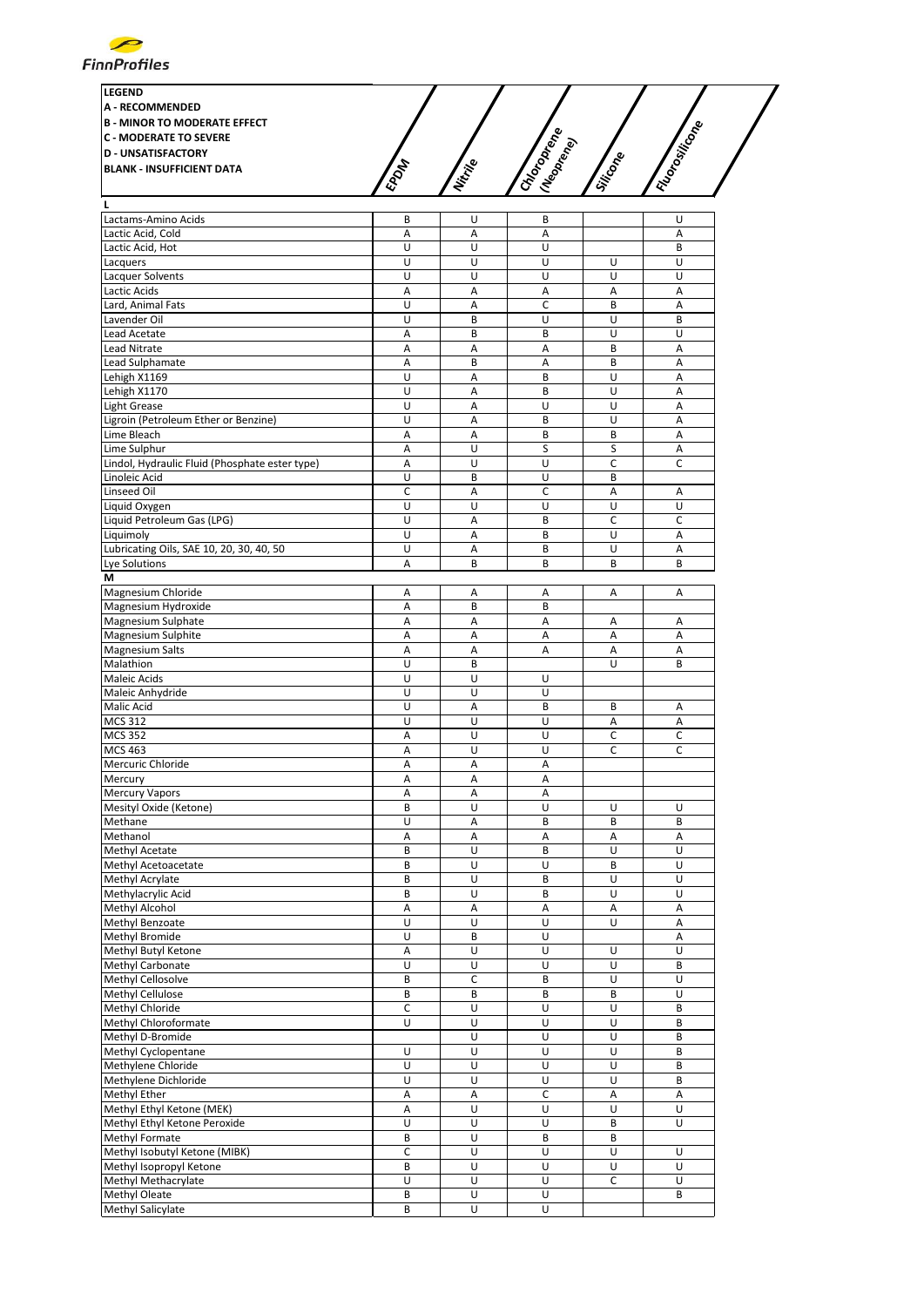

| <b>LEGEND</b>                       |      |          |             |          |             |  |
|-------------------------------------|------|----------|-------------|----------|-------------|--|
| <b>A - RECOMMENDED</b>              |      |          |             |          |             |  |
| <b>B - MINOR TO MODERATE EFFECT</b> |      |          |             |          |             |  |
| <b>C - MODERATE TO SEVERE</b>       |      |          | s           |          | tositicone  |  |
| <b>D - UNSATISFACTORY</b>           |      |          | .T<br>tere' |          |             |  |
| <b>BLANK - INSUFFICIENT DATA</b>    |      |          | Moron       |          |             |  |
|                                     | EPON | Nistinge | <b>POD</b>  | Siticope | <b>1207</b> |  |
|                                     |      |          |             |          |             |  |
|                                     |      |          |             |          |             |  |

| Lactams-Amino Acids                            | В                            | U                            | В                   |   | U |
|------------------------------------------------|------------------------------|------------------------------|---------------------|---|---|
| Lactic Acid, Cold                              | A                            | A                            | Α                   |   | A |
| Lactic Acid, Hot                               | U                            | U                            | U                   |   | B |
|                                                |                              |                              |                     |   |   |
| Lacquers                                       | U                            | U                            | U                   | U | U |
| Lacquer Solvents                               | U                            | U                            | U                   | U | U |
| Lactic Acids                                   | Α                            | A                            | Α                   | Α | Α |
| Lard, Animal Fats                              | U                            | A                            | C                   | B | Α |
| Lavender Oil                                   | U                            | B                            | U                   | U | B |
|                                                |                              | B                            | B                   | U | U |
| Lead Acetate                                   | Α                            |                              |                     |   |   |
| <b>Lead Nitrate</b>                            | Α                            | Α                            | Α                   | B | Α |
| Lead Sulphamate                                | A                            | B                            | A                   | B | A |
| Lehigh X1169                                   | U                            | Α                            | B                   | U | A |
| Lehigh X1170                                   | U                            | A                            | B                   | U | Α |
|                                                |                              |                              |                     |   |   |
| <b>Light Grease</b>                            | U                            | A                            | U                   | U | A |
| Ligroin (Petroleum Ether or Benzine)           | U                            | Α                            | B                   | U | A |
| Lime Bleach                                    | Α                            | A                            | B                   | B | A |
| Lime Sulphur                                   | A                            | U                            | S                   | S | А |
|                                                |                              | U                            | Ù                   | C | C |
| Lindol, Hydraulic Fluid (Phosphate ester type) | A                            |                              |                     |   |   |
| Linoleic Acid                                  | U                            | В                            | U                   | B |   |
| Linseed Oil                                    | C                            | Α                            | C                   | Α | Α |
| Liquid Oxygen                                  | U                            | U                            | U                   | U | U |
| Liquid Petroleum Gas (LPG)                     | U                            | A                            | B                   | C | C |
|                                                |                              |                              |                     |   |   |
| Liquimoly                                      | U                            | A                            | B                   | U | A |
| Lubricating Oils, SAE 10, 20, 30, 40, 50       | U                            | A                            | B                   | U | A |
| Lye Solutions                                  | Α                            | B                            | B                   | B | B |
| М                                              |                              |                              |                     |   |   |
|                                                |                              |                              |                     |   | A |
| Magnesium Chloride                             | Α                            | Α                            | Α                   | Α |   |
| Magnesium Hydroxide                            | Α                            | B                            | B                   |   |   |
| Magnesium Sulphate                             | Α                            | Α                            | Α                   | Α | Α |
| Magnesium Sulphite                             | A                            | A                            | Α                   | A | Α |
| <b>Magnesium Salts</b>                         | A                            | A                            | Α                   | А | Α |
|                                                |                              |                              |                     |   |   |
| Malathion                                      | U                            | B                            |                     | U | B |
| Maleic Acids                                   | U                            | U                            | U                   |   |   |
| Maleic Anhydride                               | U                            | U                            | U                   |   |   |
| Malic Acid                                     | U                            | A                            | B                   | B | Α |
|                                                |                              |                              |                     |   |   |
| <b>MCS 312</b>                                 | U                            | U                            | U                   | Α | Α |
| <b>MCS 352</b>                                 | Α                            | Ù                            | U                   | C | C |
| MCS 463                                        | A                            | U                            | U                   | C | C |
| Mercuric Chloride                              | Α                            | Α                            | Α                   |   |   |
| Mercury                                        | A                            | А                            | Α                   |   |   |
|                                                |                              |                              |                     |   |   |
| <b>Mercury Vapors</b>                          | Α                            | Α                            | А                   |   |   |
| Mesityl Oxide (Ketone)                         | B                            | Ù                            | U                   | U | U |
| Methane                                        | U                            | А                            | B                   | B | B |
| Methanol                                       | Α                            | Α                            | Α                   | Α | Α |
|                                                |                              |                              |                     |   |   |
| Methyl Acetate                                 | B                            | U                            | B                   | U | U |
| Methyl Acetoacetate                            | B                            | U                            | U                   | B | U |
| Methyl Acrylate                                | B                            | U                            | B                   | U | U |
| Methylacrylic Acid                             | B                            | U                            | B                   | U | U |
| Methyl Alcohol                                 | A                            | A                            | A                   | A | A |
|                                                |                              |                              |                     |   |   |
| Methyl Benzoate                                | U                            | U                            | U                   | U | Α |
| Methyl Bromide                                 | U                            | В                            | U                   |   | Α |
| Methyl Butyl Ketone                            | Α                            | U                            | U                   | U | U |
| Methyl Carbonate                               | U                            | U                            | U                   | U | В |
| Methyl Cellosolve                              |                              |                              |                     |   |   |
|                                                | B                            | С                            | B                   | U | U |
| Methyl Cellulose                               | B                            | В                            | B                   | B | U |
| Methyl Chloride                                | С                            | U                            | U                   | U | B |
| Methyl Chloroformate                           | U                            | U                            | U                   | U | B |
| Methyl D-Bromide                               |                              | U                            | U                   | U | B |
|                                                |                              |                              |                     |   |   |
| Methyl Cyclopentane                            | U                            | U                            | U                   | U | B |
| Methylene Chloride                             | U                            | U                            | U                   | U | B |
| Methylene Dichloride                           | U                            | U                            | U                   | U | B |
| Methyl Ether                                   | Α                            | A                            | C                   | Α | Α |
|                                                |                              |                              |                     | U | U |
| Methyl Ethyl Ketone (MEK)                      | Α                            | U                            | U                   |   |   |
| Methyl Ethyl Ketone Peroxide                   | U                            | U                            | U                   | B | U |
| Methyl Formate                                 | В                            | U                            | В                   | В |   |
| Methyl Isobutyl Ketone (MIBK)                  | C                            | U                            | U                   | U | U |
| Methyl Isopropyl Ketone                        |                              |                              |                     |   |   |
|                                                |                              |                              |                     |   |   |
|                                                | B                            | U                            | U                   | U | U |
| Methyl Methacrylate                            | U                            | U                            | U                   | C | U |
| Methyl Oleate<br>Methyl Salicylate             | B<br>$\overline{\mathsf{B}}$ | U<br>$\overline{\mathsf{u}}$ | U<br>$\overline{U}$ |   | B |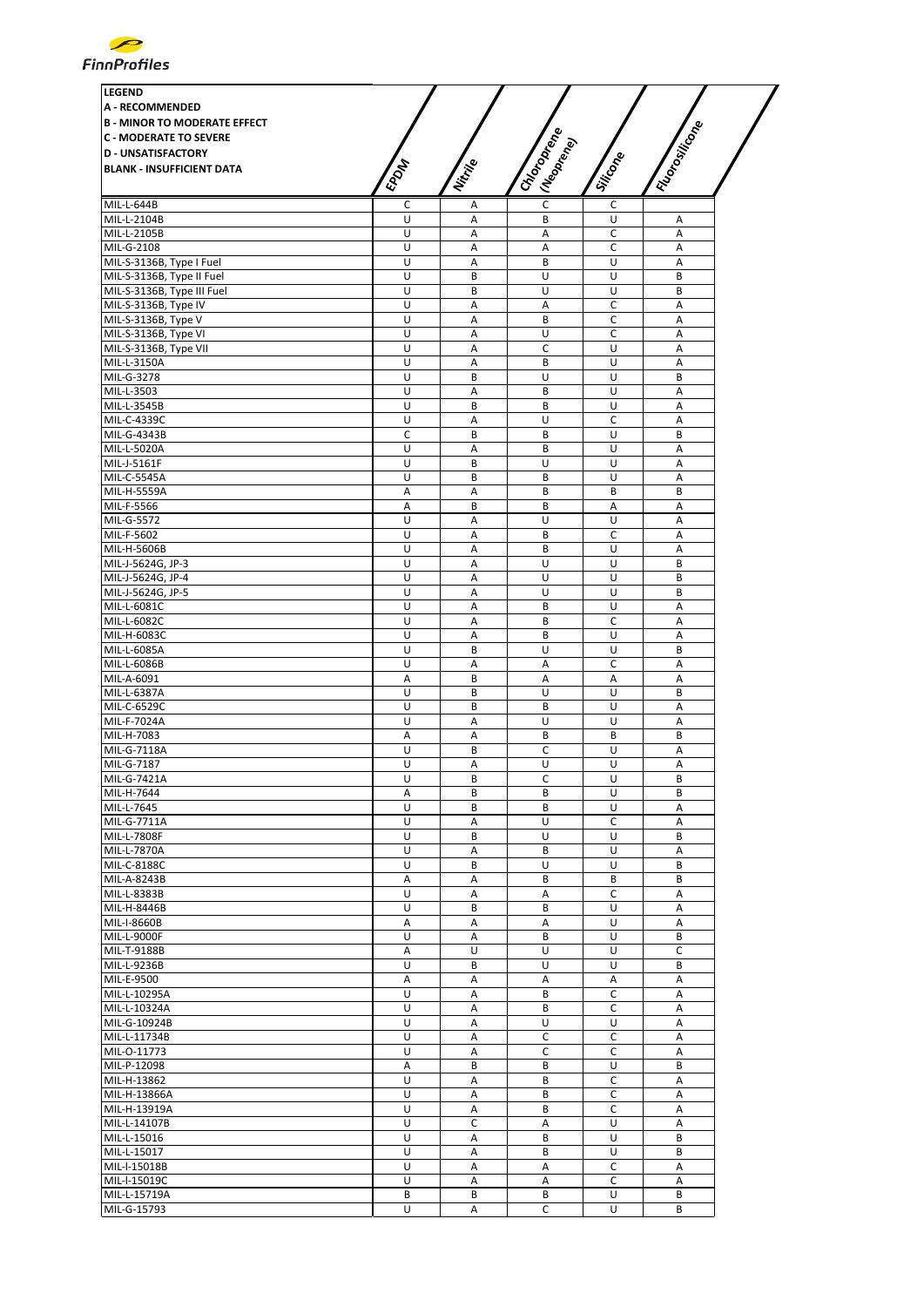| <b>LEGEND</b>                       |             |             |                              |             |                |
|-------------------------------------|-------------|-------------|------------------------------|-------------|----------------|
| <b>A - RECOMMENDED</b>              |             |             |                              |             |                |
|                                     |             |             |                              |             |                |
| <b>B - MINOR TO MODERATE EFFECT</b> |             |             |                              |             |                |
| <b>C - MODERATE TO SEVERE</b>       |             |             |                              |             |                |
| <b>D - UNSATISFACTORY</b>           |             |             |                              |             |                |
| <b>BLANK - INSUFFICIENT DATA</b>    |             |             |                              |             |                |
|                                     | <b>EPOM</b> | Nitrike     | I Choroptere<br>I (Neoprend) | Silicone    | I Florositicon |
| MIL-L-644B                          | С           | А           | C                            | с           |                |
| MIL-L-2104B                         | U           | Α           | B                            | U           | Α              |
| MIL-L-2105B                         | U           | Α           | Α                            | $\mathsf C$ | A              |
| MIL-G-2108                          | U           | Α           | Α                            | c           | Α              |
| MIL-S-3136B, Type I Fuel            | U           | Α           | B                            | U           | A              |
|                                     | U           | B           | U                            | U           | B              |
| MIL-S-3136B, Type II Fuel           | U           | B           | U                            | U           | B              |
| MIL-S-3136B, Type III Fuel          |             |             |                              |             |                |
| MIL-S-3136B, Type IV                | U           | Α           | Α                            | C           | Α              |
| MIL-S-3136B, Type V                 | U           | Α           | B                            | $\mathsf C$ | $\overline{A}$ |
| MIL-S-3136B, Type VI                | U           | Α           | U                            | C           | Α              |
| MIL-S-3136B, Type VII               | U           | A           | C                            | U           | $\overline{A}$ |
| MIL-L-3150A                         | U           | A           | B                            | U           | A              |
| MIL-G-3278                          | U           | B           | U                            | U           | B              |
| MIL-L-3503                          | U           | Α           | B                            | U           | A              |
| MIL-L-3545B                         | U           | B           | B                            | U           | Α              |
| MIL-C-4339C                         | U           | Α           | U                            | C           | A              |
| MIL-G-4343B                         | C           | B           | B                            | U           | B              |
| MIL-L-5020A                         | U           | Α           | B                            | U           | A              |
| MIL-J-5161F                         | U           | B           | U                            | U           | A              |
| MIL-C-5545A                         | U           | B           | B                            | U           | A              |
| MIL-H-5559A                         | Α           | А           | B                            | B           | B              |
| MIL-F-5566                          | A           | B           | B                            | А           | A              |
| MIL-G-5572                          | U           | Α           | U                            | U           | Α              |
| MIL-F-5602                          | U           | A           | B                            | C           | A              |
| MIL-H-5606B                         | U           | A           | B                            | U           | A              |
| MIL-J-5624G, JP-3                   | U           | Α           | U                            | U           | B              |
| MIL-J-5624G, JP-4                   | U           | Α           | U                            | U           | B              |
| MIL-J-5624G, JP-5                   | U           | Α           | U                            | U           | B              |
| MIL-L-6081C                         | U           | Α           | B                            | U           | A              |
| MIL-L-6082C                         | U           | Α           | B                            | C           | Α              |
| MIL-H-6083C                         | U           | Α           | B                            | U           | A              |
| MIL-L-6085A                         | U           | B           | U                            | U           | B              |
| MIL-L-6086B                         | U           | Α           | A                            | C           | A              |
| MIL-A-6091                          | Α           | B           | Α                            | Α           | Α              |
| MIL-L-6387A                         | U           | B           | U                            | U           | B              |
| MIL-C-6529C                         | U           | B           | B                            | U           | Α              |
| MIL-F-7024A                         | U           | A           | U                            | U           | $\overline{A}$ |
|                                     |             |             |                              |             |                |
| MIL-H-7083                          | А<br>U      | Α<br>B      | В<br>C                       | В<br>U      | В<br>А         |
| MIL-G-7118A                         |             |             |                              |             |                |
| MIL-G-7187                          | U           | Α           | U                            | U           | Α              |
| MIL-G-7421A                         | U           | В           | С                            | U           | B              |
| MIL-H-7644                          | Α           | B           | B                            | U           | B              |
| MIL-L-7645                          | U           | B           | B                            | U           | Α              |
| MIL-G-7711A                         | U           | А           | U                            | C           | А              |
| MIL-L-7808F                         | U           | B           | U                            | U           | B              |
| MIL-L-7870A                         | U           | Α           | B                            | U           | Α              |
| MIL-C-8188C                         | U           | B           | U                            | U           | B              |
| MIL-A-8243B                         | Α           | А           | B                            | B           | B              |
| MIL-L-8383B                         | U           | Α           | Α                            | C           | A              |
| MIL-H-8446B                         | U           | B           | B                            | U           | A              |
| MIL-I-8660B                         | Α           | Α           | Α                            | U           | А              |
| MIL-L-9000F                         | U           | Α           | В                            | U           | В              |
| MIL-T-9188B                         | Α           | U           | U                            | U           | C              |
| MIL-L-9236B                         | U           | B           | U                            | U           | B              |
| MIL-E-9500                          | Α           | А           | А                            | Α           | А              |
| MIL-L-10295A                        | U           | А           | B                            | C           | Α              |
| MIL-L-10324A                        | U           | А           | B                            | C           | А              |
| MIL-G-10924B                        | U           | Α           | U                            | U           | Α              |
| MIL-L-11734B                        | U           | А           | C                            | C           | A              |
| MIL-O-11773                         | U           | Α           | С                            | C           | Α              |
| MIL-P-12098                         | Α           | B           | B                            | U           | B              |
| MIL-H-13862                         | U           | Α           | B                            | C           | A              |
| MIL-H-13866A                        | U           | Α           | B                            | C           | Α              |
| MIL-H-13919A                        | U           | А           | B                            | C           | Α              |
| MIL-L-14107B                        | U           | $\mathsf C$ | Α                            | U           | Α              |
| MIL-L-15016                         | U           | Α           | B                            | U           | B              |
| MIL-L-15017                         | U           | Α           | В                            | U           | В              |
| MIL-I-15018B                        | U           | А           | А                            | C           | А              |
| MIL-I-15019C                        | U           | А           |                              | C           |                |
| MIL-L-15719A                        | В           | B           | Α<br>В                       | U           | Α<br>B         |
|                                     |             |             |                              |             |                |
| MIL-G-15793                         | U           | Α           | C                            | U           | B              |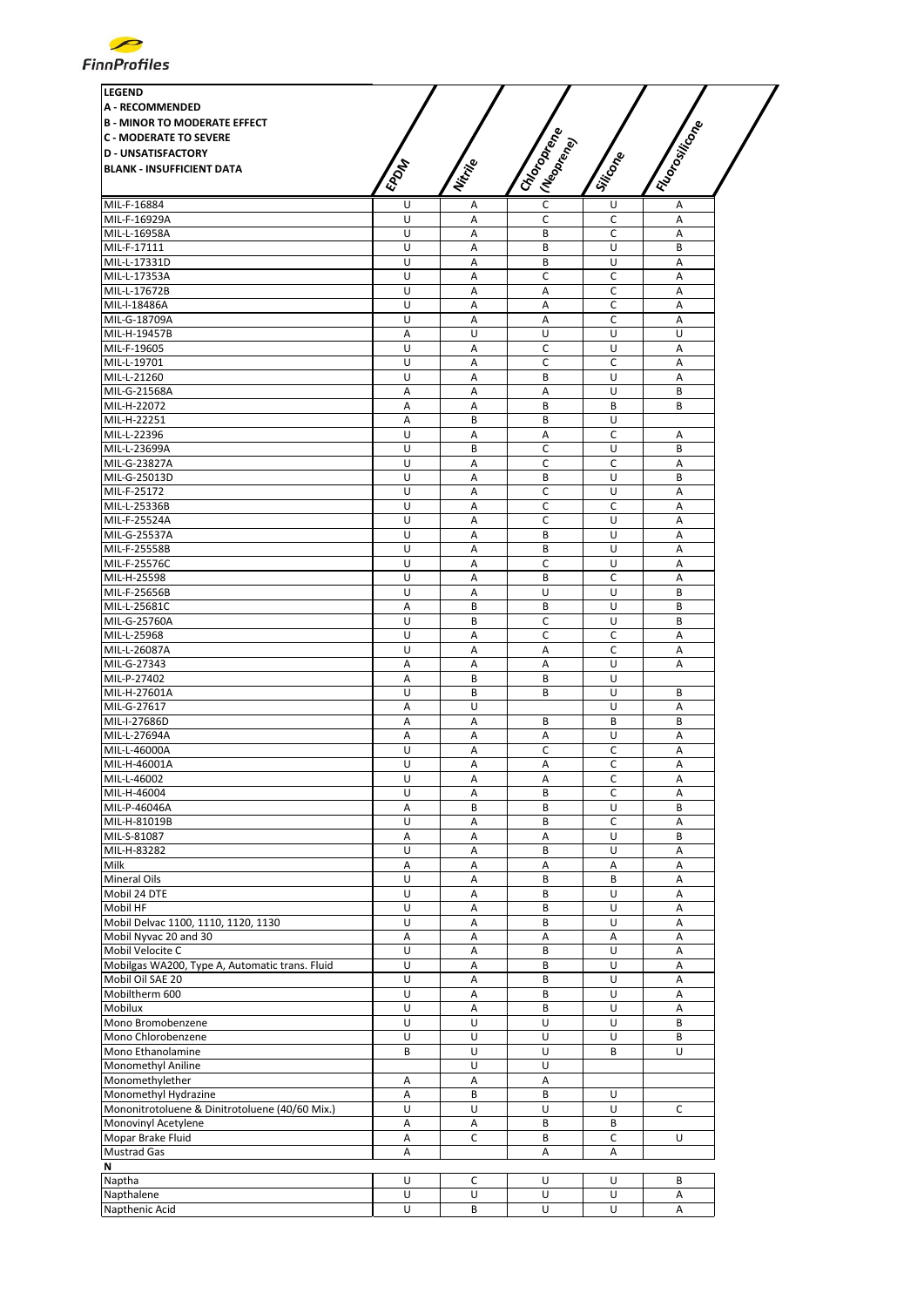| <b>LEGEND</b>                                                          |                |          |                                           |             |                 |
|------------------------------------------------------------------------|----------------|----------|-------------------------------------------|-------------|-----------------|
| <b>A - RECOMMENDED</b>                                                 |                |          |                                           |             |                 |
|                                                                        |                |          |                                           |             |                 |
| <b>B - MINOR TO MODERATE EFFECT</b>                                    |                |          |                                           |             |                 |
| <b>C - MODERATE TO SEVERE</b>                                          |                |          |                                           |             |                 |
| <b>D - UNSATISFACTORY</b>                                              |                |          |                                           |             |                 |
| <b>BLANK - INSUFFICIENT DATA</b>                                       |                |          |                                           |             |                 |
|                                                                        | <b>EPDAT</b>   | Nitrille | I Choroptere<br>I (Neopr <sub>ency)</sub> | Siticone    | I Florositicone |
| MIL-F-16884                                                            | U              | А        | C                                         | U           | Α               |
| MIL-F-16929A                                                           | U              | Α        | C                                         | c           | Α               |
| MIL-L-16958A                                                           | U              | A        | B                                         | C           | A               |
| MIL-F-17111                                                            | U              | A        | B                                         | U           | B               |
| MIL-L-17331D                                                           | U              | Α        | B                                         | U           | A               |
| MIL-L-17353A                                                           | U              | Α        | C                                         | C           | Α               |
| MIL-L-17672B                                                           | U              | Α        | Α                                         | c           | Α               |
| MIL-I-18486A                                                           | U              | Α        | Α                                         | C           | Α               |
| MIL-G-18709A                                                           | U              | A        | A                                         | C           | A               |
| MIL-H-19457B                                                           | Α              | U        | U                                         | U           | U               |
| MIL-F-19605                                                            | U              | Α        | C                                         | U           | A               |
| MIL-L-19701                                                            | U              | А        | C                                         | C           | Α               |
| MIL-L-21260                                                            | U              | A        | B                                         | U           | Α               |
| MIL-G-21568A                                                           | Α              | Α        | Α                                         | U           | B               |
| MIL-H-22072                                                            | Α              | A        | B                                         | B           | B               |
| MIL-H-22251                                                            | A              | B        | B                                         | U           |                 |
| MIL-L-22396                                                            | U              | Α        | Α                                         | C           | Α               |
| MIL-L-23699A                                                           | U              | B        | C                                         | U           | B               |
| MIL-G-23827A                                                           | U              | Α        | C                                         | C           | Α               |
| MIL-G-25013D                                                           | U              | A        | B                                         | U           | B               |
| MIL-F-25172                                                            | U              | A        | C                                         | U           | A               |
| MIL-L-25336B                                                           | U              | A        | C                                         | C           | $\overline{A}$  |
| MIL-F-25524A                                                           | U              | Α        | Ċ                                         | U           | A               |
| MIL-G-25537A                                                           | U              | Α        | B                                         | U           | Α               |
| MIL-F-25558B                                                           | U              | Α        | B                                         | U           | A               |
| MIL-F-25576C                                                           | U              | Α        | C                                         | U           | Α               |
| MIL-H-25598                                                            | U              | Α        | B                                         | C           | A               |
| MIL-F-25656B                                                           | U              | A        | U                                         | U           | B               |
| MIL-L-25681C                                                           | Α              | B        | B                                         | U           | B               |
| MIL-G-25760A                                                           | U              | B        | C                                         | U           | B               |
| MIL-L-25968                                                            | U              | Α        | C                                         | $\mathsf C$ | Α               |
| MIL-L-26087A                                                           | U              | Α        | Α                                         | c           | Α               |
| MIL-G-27343                                                            | Α              | Α        | Α                                         | U           | Α               |
| MIL-P-27402                                                            | Α              | B        | B                                         | U           |                 |
| MIL-H-27601A                                                           | U              | B        | B                                         | U           | B               |
| MIL-G-27617                                                            | А              | U        |                                           | U           | Α               |
| MIL-I-27686D                                                           | Α              | Α        | B                                         | B           | B               |
| MIL-L-27694A                                                           | А              | Α        | Α                                         | U           | Α               |
| MIL-L-46000A                                                           | U              | Α        | С                                         | C           | Α               |
| MIL-H-46001A                                                           | U              | Α        | Α                                         | C           | А               |
| MIL-L-46002                                                            | U              | Α        | Α                                         | C           | Α               |
| MIL-H-46004                                                            | $\overline{U}$ | А        | B                                         | C           | А               |
| MIL-P-46046A                                                           | Α              | В        | В                                         | U           | В               |
| MIL-H-81019B                                                           | U              | А        | B                                         | C           | А               |
| MIL-S-81087                                                            | Α              | А        | Α                                         | U           | B               |
| MIL-H-83282                                                            | U              | Α        | B                                         | U           | А               |
| Milk                                                                   | Α              | А        | А                                         | Α           | А               |
| Mineral Oils                                                           | U              | А        | B                                         | B           | Α               |
| Mobil 24 DTE                                                           | U              | Α        | B                                         | U           | А               |
| Mobil HF                                                               | U              | Α        | В                                         | U           | Α               |
| Mobil Delvac 1100, 1110, 1120, 1130                                    | U              | А        | B                                         | U           | А               |
| Mobil Nyvac 20 and 30                                                  | Α              | А        | Α                                         | Α           | Α               |
| Mobil Velocite C                                                       | U              | А        | B                                         | U           | А               |
| Mobilgas WA200, Type A, Automatic trans. Fluid                         | U              | А        | B                                         | U           | Α               |
| Mobil Oil SAE 20                                                       | U              | Α        | B                                         | U           | Α               |
| Mobiltherm 600                                                         | U              | А        | B                                         | U           | Α               |
| Mobilux                                                                | U              | А        | B                                         | U           | Α               |
| Mono Bromobenzene<br>Mono Chlorobenzene                                | U<br>U         | U<br>U   | U<br>U                                    | U<br>U      | B<br>B          |
| Mono Ethanolamine                                                      | B              | U        | U                                         | B           | U               |
|                                                                        |                | U        | U                                         |             |                 |
| Monomethyl Aniline<br>Monomethylether                                  |                | $\sf A$  | А                                         |             |                 |
|                                                                        | Α              |          |                                           |             |                 |
| Monomethyl Hydrazine<br>Mononitrotoluene & Dinitrotoluene (40/60 Mix.) | Α<br>U         | В<br>U   | В<br>U                                    | U<br>U      | C               |
|                                                                        |                |          | B                                         |             |                 |
| Monovinyl Acetylene                                                    | Α              | Α<br>C   | B                                         | В<br>C      | U               |
| Mopar Brake Fluid                                                      | А              |          |                                           |             |                 |
| <b>Mustrad Gas</b>                                                     | Α              |          | Α                                         | Α           |                 |
| N<br>Naptha                                                            |                |          |                                           |             |                 |
|                                                                        | U<br>U         | С<br>U   | U                                         | U           | B               |
|                                                                        |                |          | U                                         | U           | Α               |
| Napthalene<br>Napthenic Acid                                           | U              | B        | U                                         | U           | Α               |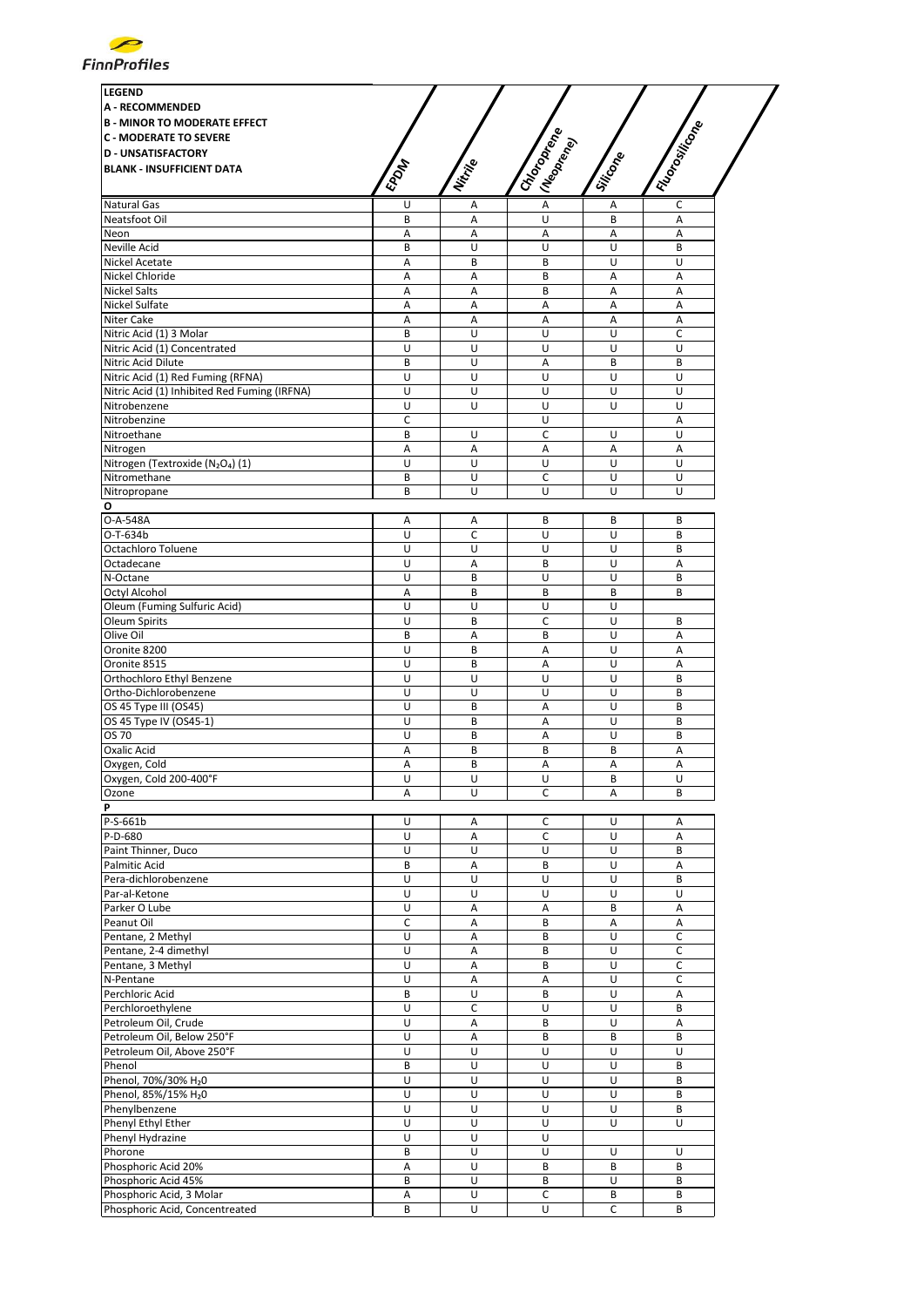

| <b>LEGEND</b>                                                         |                |         |                           |              |                 |
|-----------------------------------------------------------------------|----------------|---------|---------------------------|--------------|-----------------|
| <b>A - RECOMMENDED</b>                                                |                |         |                           |              |                 |
| <b>B - MINOR TO MODERATE EFFECT</b>                                   |                |         |                           |              | I Florositicone |
| <b>C - MODERATE TO SEVERE</b>                                         |                |         |                           |              |                 |
| <b>D - UNSATISFACTORY</b>                                             |                |         |                           |              |                 |
| <b>BLANK - INSUFFICIENT DATA</b>                                      |                |         |                           |              |                 |
|                                                                       | <b>EPOM</b>    | Nitrije | I Choronego<br>I Meaprent | Silicone     |                 |
|                                                                       |                |         | $\overline{A}$            |              |                 |
| Natural Gas<br>Neatsfoot Oil                                          | U<br>B         | Α<br>A  | U                         | Α<br>B       | C<br>A          |
| Neon                                                                  | Α              | А       | A                         | Α            | Α               |
| Neville Acid                                                          | B              | U       | U                         | U            | B               |
| Nickel Acetate                                                        | Α              | B       | B                         | U            | U               |
| Nickel Chloride                                                       | Α              | Α       | B                         | A            | А               |
| <b>Nickel Salts</b>                                                   | Α              | Α       | B                         | Α            | Α               |
| Nickel Sulfate                                                        | Α              | A       | A                         | А            | A               |
| Niter Cake                                                            | А              | Α       | Α                         | Α            | Α               |
| Nitric Acid (1) 3 Molar                                               | B              | U       | U                         | $\cup$       | $\mathsf{C}$    |
| Nitric Acid (1) Concentrated                                          | U              | U       | U                         | U            | U               |
| Nitric Acid Dilute                                                    | B              | U       | A                         | B            | B               |
| Nitric Acid (1) Red Fuming (RFNA)                                     | U              | U       | U                         | U            | U               |
| Nitric Acid (1) Inhibited Red Fuming (IRFNA)                          | U              | U       | U                         | U            | U               |
| Nitrobenzene                                                          | U              | U       | U                         | U            | U               |
| Nitrobenzine                                                          | C              |         | U                         |              | Α               |
| Nitroethane                                                           | B              | U       | C                         | U            | U               |
|                                                                       | A              | Α       | Α                         | Α            | A               |
| Nitrogen<br>Nitrogen (Textroxide (N <sub>2</sub> O <sub>4</sub> ) (1) | U              | U       | U                         | U            | U               |
| Nitromethane                                                          | B              | U       | C                         | U            | U               |
|                                                                       | B              | U       | U                         | U            | U               |
| Nitropropane<br>O                                                     |                |         |                           |              |                 |
| O-A-548A                                                              | Α              | Α       | B                         | B            | B               |
| O-T-634b                                                              | U              | C       | U                         | U            | B               |
| Octachloro Toluene                                                    | U              | U       | U                         | U            | B               |
| Octadecane                                                            | U              | A       | B                         | U            | A               |
| N-Octane                                                              | U              | B       | U                         | U            | B               |
| Octyl Alcohol                                                         | А              | B       | B                         | B            | B               |
| Oleum (Fuming Sulfuric Acid)                                          | U              | Ù       | U                         | U            |                 |
| Oleum Spirits                                                         | U              | B       | C                         | U            | B               |
| Olive Oil                                                             | B              | Α       | B                         | U            | Α               |
| Oronite 8200                                                          | U              | B       | A                         | U            | A               |
| Oronite 8515                                                          | U              | B       | A                         | U            | A               |
| Orthochloro Ethyl Benzene                                             | $\overline{U}$ | U       | U                         | U            | B               |
| Ortho-Dichlorobenzene                                                 | U              | U       | U                         | U            | B               |
| OS 45 Type III (OS45)                                                 | $\overline{U}$ | B       | A                         | U            | B               |
| OS 45 Type IV (OS45-1)                                                | U              | B       | Α                         | U            | B               |
| OS 70                                                                 | U              | B       | A                         | U            | B               |
| Oxalic Acid                                                           | Α              | B       | B                         | B            | A               |
| Oxygen, Cold                                                          | Α              | B       | Α                         | А            | А               |
| Oxygen, Cold 200-400°F                                                | U              | U       | U                         | В            | U               |
| Ozone                                                                 | A              | U       | C                         | A            | B               |
|                                                                       |                |         |                           |              |                 |
| P-S-661b                                                              | U              | Α       | С                         | U            | Α               |
| P-D-680                                                               | U              | Α       | C                         | U            | A               |
| Paint Thinner, Duco                                                   | U              | U       | U                         | U            | B               |
| Palmitic Acid                                                         | B              | Α       | B                         | U            | Α               |
| Pera-dichlorobenzene                                                  | U              | U       | U                         | U            | B               |
| Par-al-Ketone                                                         | U              | U       | U                         | U            | U               |
| Parker O Lube                                                         | U              | Α       | Α                         | B            | Α               |
| Peanut Oil                                                            | $\mathsf C$    | Α       | B                         | Α            | A               |
| Pentane, 2 Methyl                                                     | U              | Α       | B                         | U            | $\mathsf C$     |
| Pentane, 2-4 dimethyl                                                 | U              | Α       | B                         | U            | C               |
| Pentane, 3 Methyl                                                     | U              | Α       | B                         | U            | $\mathsf C$     |
| N-Pentane                                                             | U              | Α       | Α                         | U            | C               |
| Perchloric Acid                                                       | B              | U       | B                         | U            | А               |
| Perchloroethylene                                                     | U              | C       | U                         | U            | B               |
| Petroleum Oil, Crude                                                  | U              | Α       | B                         | U            | А               |
| Petroleum Oil, Below 250°F                                            | U              | Α       | B                         | B            | B               |
| Petroleum Oil, Above 250°F                                            | U              | U       | U                         | U            | U               |
| Phenol                                                                | B              | U       | U                         | U            | B               |
| Phenol, 70%/30% H <sub>2</sub> 0                                      | U              | U       | U                         | U            | B               |
| Phenol, 85%/15% H <sub>2</sub> 0                                      | U              | U       | U                         | U            | B               |
| Phenylbenzene                                                         | U              | U       | U                         | U            | B               |
| Phenyl Ethyl Ether                                                    | U              | U       | U                         | U            | U               |
| Phenyl Hydrazine                                                      | U              | U       | U                         |              |                 |
| Phorone                                                               | B              | U       | U                         | U            | U               |
| Phosphoric Acid 20%                                                   | Α              | U       | B                         | B            | B               |
| Phosphoric Acid 45%                                                   | B              | U       | B                         | U            | B               |
| Phosphoric Acid, 3 Molar                                              | Α              | U       | C                         | B            | B               |
| Phosphoric Acid, Concentreated                                        | B              | U       | U                         | $\mathsf{C}$ | B               |
|                                                                       |                |         |                           |              |                 |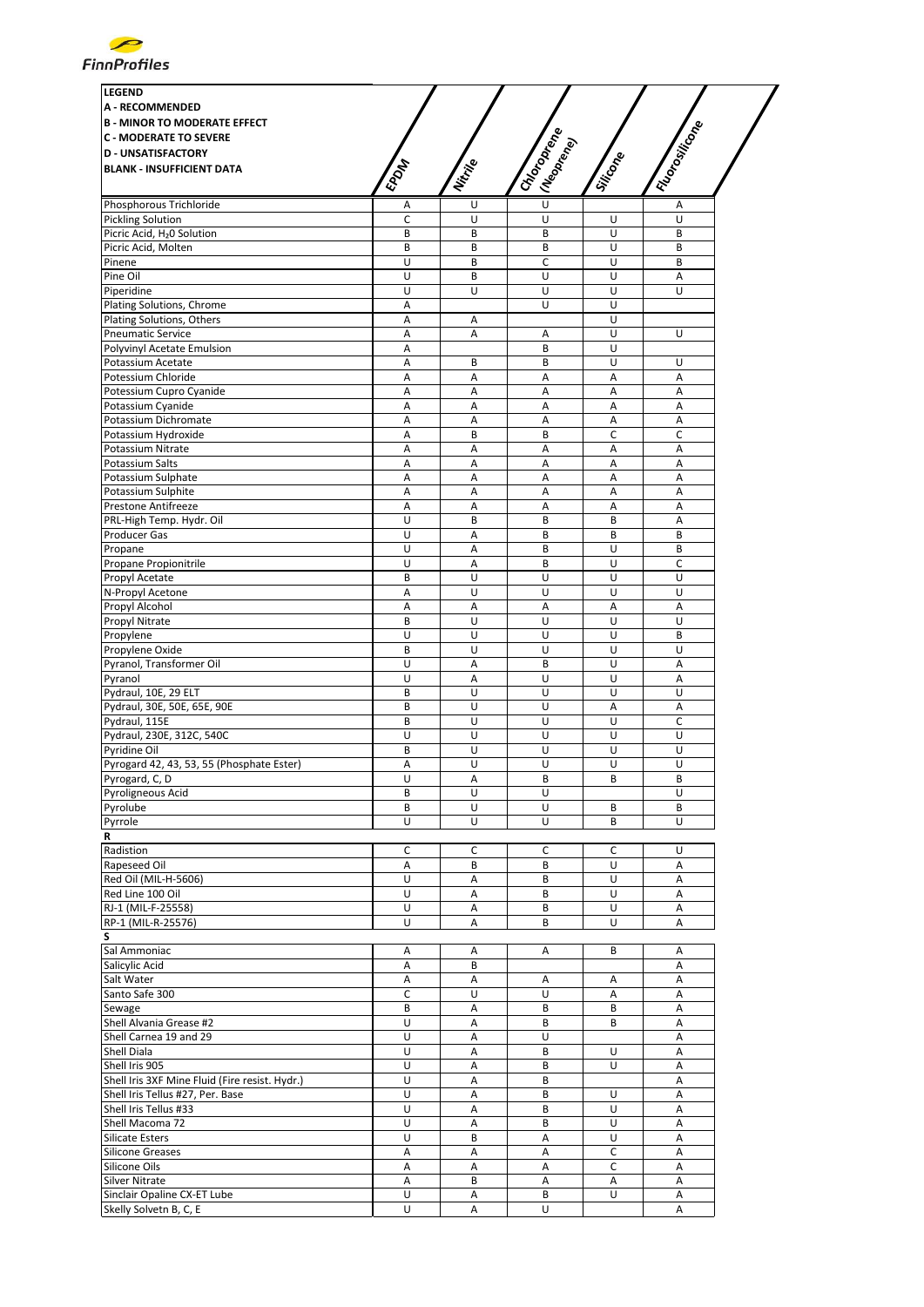

| <b>LEGEND</b>                                       |              |          |                           |                |                 |
|-----------------------------------------------------|--------------|----------|---------------------------|----------------|-----------------|
| <b>A - RECOMMENDED</b>                              |              |          |                           |                |                 |
| <b>B - MINOR TO MODERATE EFFECT</b>                 |              |          |                           |                |                 |
| <b>C - MODERATE TO SEVERE</b>                       |              |          |                           |                |                 |
| <b>D - UNSATISFACTORY</b>                           |              |          |                           |                |                 |
| <b>BLANK - INSUFFICIENT DATA</b>                    | <b>EPDAT</b> | Nitrille | I Choronego<br>(Neoprend) | Silicone       | I Riopositicone |
|                                                     |              |          | $\overline{U}$            |                |                 |
| Phosphorous Trichloride<br><b>Pickling Solution</b> | Α<br>C       | U<br>U   | U                         | U              | Α<br>U          |
| Picric Acid, H <sub>2</sub> 0 Solution              | B            | B        | B                         | U              | B               |
| Picric Acid, Molten                                 | B            | B        | B                         | U              | B               |
| Pinene                                              | U            | B        | C                         | U              | B               |
| Pine Oil                                            | U            | B        | U                         | U              | A               |
| Piperidine                                          | U            | U        | U                         | U              | U               |
| Plating Solutions, Chrome                           | Α            |          | U                         | U              |                 |
| Plating Solutions, Others                           | Α            | Α        |                           | U              |                 |
| <b>Pneumatic Service</b>                            | Α            | A        | Α                         | U              | U               |
| Polyvinyl Acetate Emulsion                          | Α            |          | B                         | U<br>U         |                 |
| Potassium Acetate<br>Potessium Chloride             | Α<br>Α       | B<br>A   | B<br>Α                    | Α              | U<br>A          |
| Potessium Cupro Cyanide                             | Α            | A        | А                         | Α              | A               |
| Potassium Cyanide                                   | Α            | А        | Α                         | Α              | Α               |
| Potassium Dichromate                                | Α            | A        | A                         | Α              | Α               |
| Potassium Hydroxide                                 | Α            | B        | B                         | C              | C               |
| Potassium Nitrate                                   | A            | A        | A                         | Α              | A               |
| Potassium Salts                                     | A            | Α        | Α                         | A              | A               |
| Potassium Sulphate                                  | Α            | Α        | Α                         | A              | A               |
| Potassium Sulphite                                  | Α            | Α        | Α                         | A              | Α               |
| Prestone Antifreeze                                 | Α            | A        | Α                         | Α              | Α               |
| PRL-High Temp. Hydr. Oil                            | U            | B        | В                         | B              | Α               |
| Producer Gas                                        | U<br>U       | Α<br>A   | B<br>B                    | B<br>U         | B<br>B          |
| Propane<br>Propane Propionitrile                    | U            | А        | B                         | U              | C               |
| Propyl Acetate                                      | B            | U        | U                         | U              | U               |
| N-Propyl Acetone                                    | Α            | U        | U                         | U              | U               |
| Propyl Alcohol                                      | Α            | A        | А                         | Α              | А               |
| Propyl Nitrate                                      | B            | U        | U                         | U              | U               |
| Propylene                                           | U            | U        | U                         | U              | B               |
| Propylene Oxide                                     | B            | U        | U                         | U              | U               |
| Pyranol, Transformer Oil                            | U            | A        | B                         | U              | Α               |
| Pyranol                                             | U            | A        | U                         | $\overline{U}$ | A               |
| Pydraul, 10E, 29 ELT                                | B            | U        | U                         | U              | U               |
| Pydraul, 30E, 50E, 65E, 90E                         | B            | U        | U                         | Α              | Α               |
| Pydraul, 115E<br>Pydraul, 230E, 312C, 540C          | B<br>U       | U<br>U   | U<br>U                    | U<br>U         | c<br>U          |
| Pyridine Oil                                        | B            | U        | U                         | U              | U               |
| Pyrogard 42, 43, 53, 55 (Phosphate Ester)           | Α            | Ù        | U                         | U              | U               |
| Pyrogard, C, D                                      | U            | Α        | В                         | В              | В               |
| Pyroligneous Acid                                   | B            | U        | U                         |                | U               |
| Pyrolube                                            | B            | U        | U                         | B              | B               |
| Pyrrole                                             | U            | U        | U                         | B              | U               |
| R                                                   |              |          |                           |                |                 |
| Radistion                                           | C            | C        | С                         | c              | U               |
| Rapeseed Oil                                        | Α            | В        | В                         | U              | Α               |
| Red Oil (MIL-H-5606)                                | U            | Α        | В                         | U              | Α               |
| Red Line 100 Oil<br>RJ-1 (MIL-F-25558)              | U<br>U       | A        | B                         | U              | A               |
| RP-1 (MIL-R-25576)                                  | U            | Α<br>A   | B<br>B                    | U<br>U         | Α<br>Α          |
| S                                                   |              |          |                           |                |                 |
| Sal Ammoniac                                        | Α            | Α        | Α                         | B              | Α               |
| Salicylic Acid                                      | Α            | B        |                           |                | Α               |
| Salt Water                                          | Α            | Α        | Α                         | Α              | Α               |
| Santo Safe 300                                      | C            | U        | U                         | Α              | A               |
| Sewage                                              | B            | A        | B                         | B              | Α               |
| Shell Alvania Grease #2                             | U            | Α        | В                         | B              | Α               |
| Shell Carnea 19 and 29                              | U            | Α        | U                         |                | Α               |
| Shell Diala                                         | U            | Α        | В                         | U              | А               |
| Shell Iris 905                                      | U            | Α        | B                         | U              | Α               |
| Shell Iris 3XF Mine Fluid (Fire resist. Hydr.)      | U            | A        | B                         |                | A               |
| Shell Iris Tellus #27, Per. Base                    | U            | А        | B                         | U              | Α               |
| Shell Iris Tellus #33                               | U<br>U       | Α        | B                         | U              | Α               |
| Shell Macoma 72<br><b>Silicate Esters</b>           | U            | А<br>B   | B<br>А                    | U<br>U         | Α<br>Α          |
| <b>Silicone Greases</b>                             | Α            | Α        | Α                         | C              | Α               |
| Silicone Oils                                       | Α            | A        | А                         | C              | A               |
| Silver Nitrate                                      | Α            | В        | Α                         | Α              | Α               |
| Sinclair Opaline CX-ET Lube                         | U            | Α        | B                         | U              | Α               |
| Skelly Solvetn B, C, E                              | U            | A        | U                         |                | A               |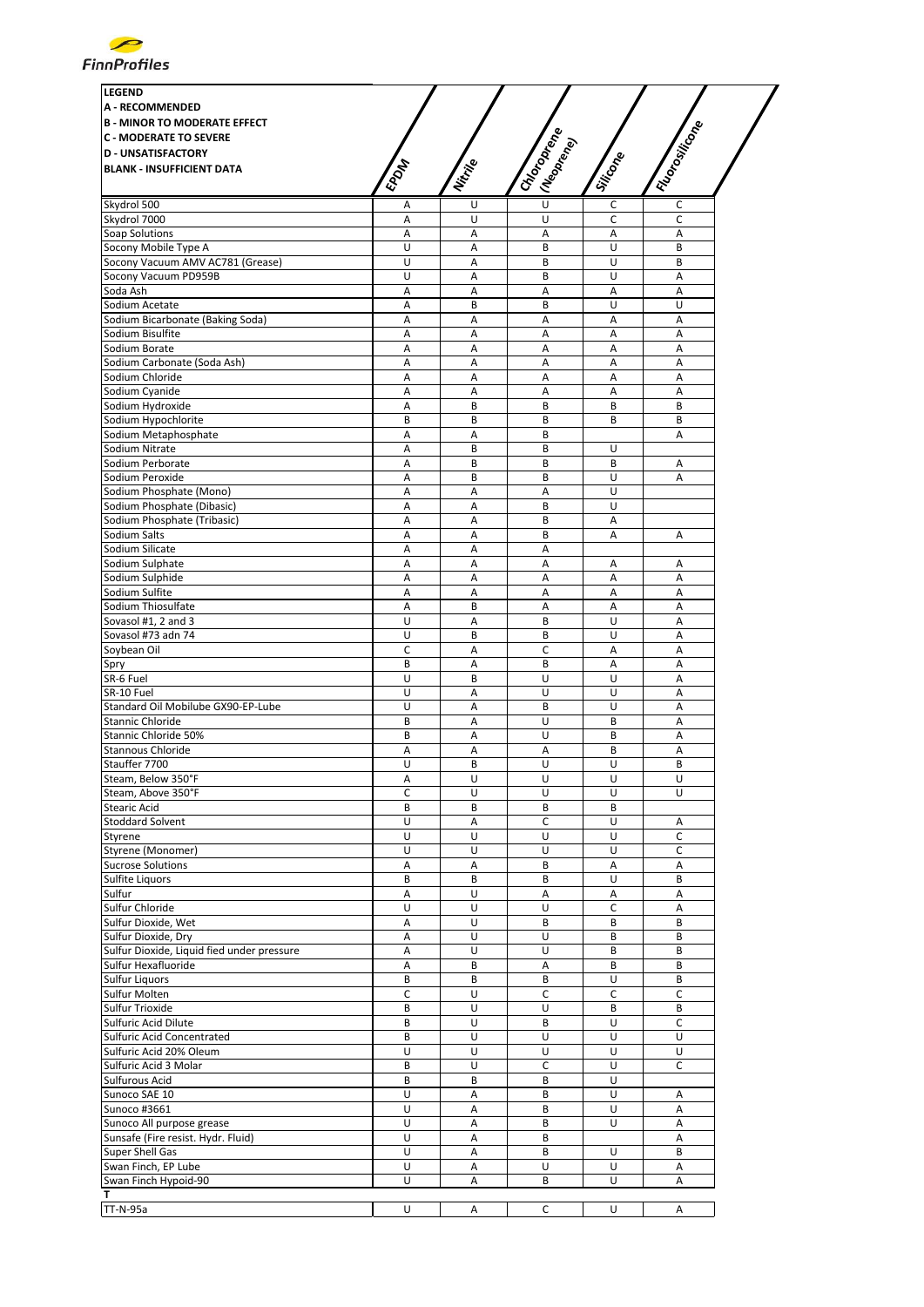

| <b>LEGEND</b>                                                     |             |          |                                        |          |                 |
|-------------------------------------------------------------------|-------------|----------|----------------------------------------|----------|-----------------|
| <b>A - RECOMMENDED</b>                                            |             |          |                                        |          |                 |
| <b>B - MINOR TO MODERATE EFFECT</b>                               |             |          |                                        |          |                 |
| <b>C - MODERATE TO SEVERE</b>                                     |             |          |                                        |          |                 |
| <b>D - UNSATISFACTORY</b>                                         |             |          |                                        |          |                 |
| <b>BLANK - INSUFFICIENT DATA</b>                                  | <b>EPOM</b> | Nitrille | I Choronego<br>I (Neopr <sub>ego</sub> | Silicone | I Florositicone |
|                                                                   |             |          |                                        |          |                 |
| Skydrol 500                                                       | Α           | U        | U                                      | C        | c               |
| Skydrol 7000                                                      | A           | U        | U                                      | c        | C               |
| Soap Solutions                                                    | А           | А        | A                                      | Α        | A               |
| Socony Mobile Type A                                              | U<br>U      | Α        | B                                      | U<br>U   | B<br>B          |
| Socony Vacuum AMV AC781 (Grease)<br>Socony Vacuum PD959B          | U           | A<br>Α   | B<br>B                                 | U        | Α               |
| Soda Ash                                                          | Α           | Α        | Α                                      | Α        | Α               |
| Sodium Acetate                                                    | А           | B        | B                                      | U        | U               |
| Sodium Bicarbonate (Baking Soda)                                  | Α           | Α        | Α                                      | Α        | A               |
| Sodium Bisulfite                                                  | A           | А        | A                                      | A        | A               |
| Sodium Borate                                                     | Α           | А        | Α                                      | Α        | A               |
| Sodium Carbonate (Soda Ash)                                       | А           | Α        | A                                      | A        | А               |
| Sodium Chloride                                                   | Α           | Α        | Α                                      | Α        | Α               |
| Sodium Cyanide                                                    | А           | A        | A                                      | Α        | A               |
| Sodium Hydroxide                                                  | Α<br>B      | В<br>B   | B<br>B                                 | B<br>B   | B<br>B          |
| Sodium Hypochlorite<br>Sodium Metaphosphate                       | Α           | Α        | B                                      |          | A               |
| Sodium Nitrate                                                    | Α           | B        | B                                      | U        |                 |
| Sodium Perborate                                                  | Α           | B        | B                                      | B        | Α               |
| Sodium Peroxide                                                   | A           | B        | B                                      | U        | A               |
| Sodium Phosphate (Mono)                                           | Α           | Α        | Α                                      | U        |                 |
| Sodium Phosphate (Dibasic)                                        | Α           | А        | B                                      | U        |                 |
| Sodium Phosphate (Tribasic)                                       | Α           | Α        | B                                      | Α        |                 |
| Sodium Salts                                                      | Α           | Α        | B                                      | Α        | Α               |
| Sodium Silicate                                                   | А           | Α        | Α                                      |          |                 |
| Sodium Sulphate                                                   | A           | A        | A                                      | Α        | A               |
| Sodium Sulphide                                                   | А           | A        | A                                      | Α        | A               |
| Sodium Sulfite                                                    | Α<br>A      | Α<br>B   | Α                                      | Α        | Α<br>A          |
| Sodium Thiosulfate<br>Sovasol #1, 2 and 3                         | U           | Α        | Α<br>B                                 | Α<br>U   | A               |
| Sovasol #73 adn 74                                                | U           | B        | B                                      | U        | A               |
| Soybean Oil                                                       | C           | A        | C                                      | Α        | A               |
| Spry                                                              | B           | A        | B                                      | Α        | A               |
| SR-6 Fuel                                                         | U           | B        | U                                      | U        | A               |
| SR-10 Fuel                                                        | U           | Α        | U                                      | U        | Α               |
| Standard Oil Mobilube GX90-EP-Lube                                | U           | А        | B                                      | U        | A               |
| Stannic Chloride                                                  | B           | Α        | U                                      | B        | A               |
| Stannic Chloride 50%                                              | B           | A        | U                                      | B        | A               |
| <b>Stannous Chloride</b>                                          | Α           | A        | A                                      | B        | A               |
| Stauffer 7700                                                     | U           | B        | U                                      | U        | B               |
| Steam, Below 350°F<br>Steam, Above 350°F                          | А<br>C      | U<br>U   | U<br>U                                 | U<br>U   | U<br>U          |
| <b>Stearic Acid</b>                                               | B           | В        | B                                      | B        |                 |
| <b>Stoddard Solvent</b>                                           | U           | Α        | C                                      | U        | Α               |
| Styrene                                                           | U           | U        | U                                      | U        | C               |
| Styrene (Monomer)                                                 | U           | U        | U                                      | U        | C               |
| <b>Sucrose Solutions</b>                                          | Α           | Α        | B                                      | Α        | А               |
| Sulfite Liquors                                                   | B           | B        | B                                      | U        | B               |
| Sulfur                                                            | Α           | U        | Α                                      | Α        | Α               |
| Sulfur Chloride                                                   | U           | U        | U                                      | C        | Α               |
| Sulfur Dioxide, Wet                                               | А           | U        | B                                      | B        | B               |
| Sulfur Dioxide, Dry                                               | Α           | U        | U                                      | B        | B               |
| Sulfur Dioxide, Liquid fied under pressure<br>Sulfur Hexafluoride | Α           | U<br>B   | U                                      | B        | B               |
| <b>Sulfur Liquors</b>                                             | Α<br>B      | B        | Α<br>B                                 | B<br>U   | B<br>B          |
| Sulfur Molten                                                     | с           | U        | С                                      | C        | с               |
| Sulfur Trioxide                                                   | B           | U        | U                                      | B        | B               |
| Sulfuric Acid Dilute                                              | B           | U        | B                                      | U        | $\mathsf C$     |
| Sulfuric Acid Concentrated                                        | B           | U        | U                                      | U        | U               |
| Sulfuric Acid 20% Oleum                                           | U           | U        | U                                      | U        | U               |
| Sulfuric Acid 3 Molar                                             | B           | U        | С                                      | U        | C               |
| Sulfurous Acid                                                    | B           | B        | B                                      | U        |                 |
| Sunoco SAE 10                                                     | U           | Α        | B                                      | U        | Α               |
| Sunoco #3661                                                      | U           | Α        | B                                      | U        | Α               |
| Sunoco All purpose grease                                         | U           | Α        | B                                      | U        | Α               |
| Sunsafe (Fire resist. Hydr. Fluid)<br>Super Shell Gas             | U<br>U      | Α        | B<br>B                                 | U        | Α<br>B          |
| Swan Finch, EP Lube                                               | U           | Α<br>А   | U                                      | U        | Α               |
| Swan Finch Hypoid-90                                              | U           | Α        | B                                      | U        | А               |
| т                                                                 |             |          |                                        |          |                 |
| <b>TT-N-95a</b>                                                   | U           | Α        | C                                      | U        | Α               |
|                                                                   |             |          |                                        |          |                 |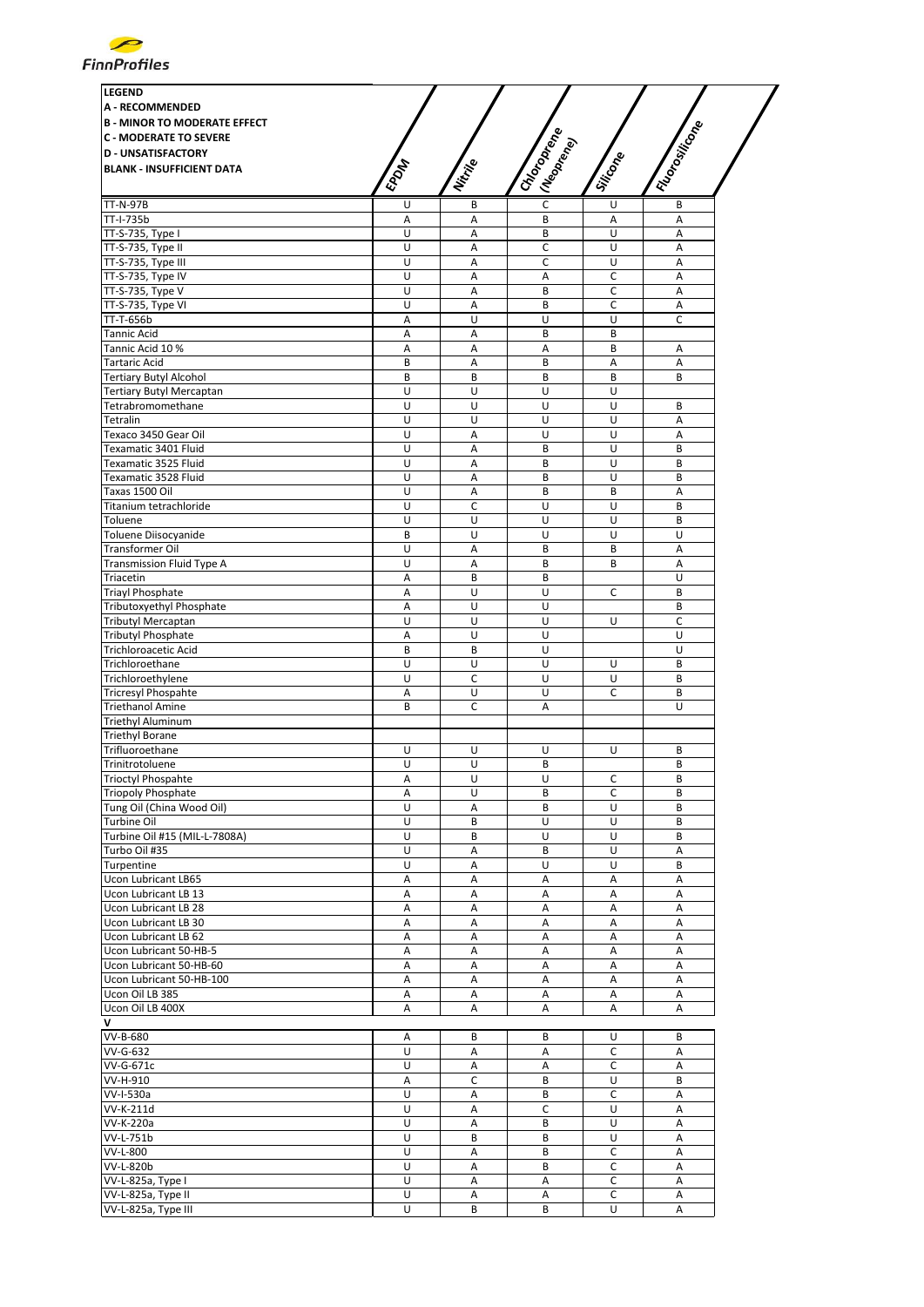

| <b>LEGEND</b>                                       |             |                  |                                          |                |                 |
|-----------------------------------------------------|-------------|------------------|------------------------------------------|----------------|-----------------|
| <b>A - RECOMMENDED</b>                              |             |                  |                                          |                |                 |
| <b>B - MINOR TO MODERATE EFFECT</b>                 |             |                  |                                          |                |                 |
| <b>C - MODERATE TO SEVERE</b>                       |             |                  |                                          |                |                 |
| <b>D - UNSATISFACTORY</b>                           |             |                  |                                          |                |                 |
| <b>BLANK - INSUFFICIENT DATA</b>                    | <b>EPON</b> | Nitrille         | I Choronego<br>I (Neopr <sub>ency)</sub> | Silicone       | I Florositicone |
|                                                     |             |                  |                                          |                |                 |
| <b>TT-N-97B</b><br>TT-I-735b                        | U<br>Α      | B<br>A           | $\mathsf C$<br>B                         | U<br>Α         | B<br>A          |
| TT-S-735, Type I                                    | U           | $\mathsf A$      | B                                        | U              | А               |
| TT-S-735, Type II                                   | U           | Α                | С                                        | U              | Α               |
| TT-S-735, Type III                                  | U           | A                | C                                        | $\overline{U}$ | A               |
| TT-S-735, Type IV                                   | U           | Α                | Α                                        | C              | Α               |
| TT-S-735, Type V                                    | U           | A                | B                                        | C              | Α               |
| TT-S-735, Type VI                                   | U           | А                | B                                        | C              | A               |
| TT-T-656b                                           | Α           | U                | U                                        | U              | C               |
| Tannic Acid                                         | Α           | Α                | B                                        | B              |                 |
| Tannic Acid 10 %                                    | Α           | A                | A                                        | B              | Α               |
| <b>Tartaric Acid</b>                                | B           | Α                | B                                        | Α              | Α               |
| <b>Tertiary Butyl Alcohol</b>                       | B           | B                | B                                        | B              | B               |
| <b>Tertiary Butyl Mercaptan</b>                     | U           | U                | U                                        | U              |                 |
| Tetrabromomethane<br>Tetralin                       | U<br>U      | U<br>U           | U<br>U                                   | U<br>U         | B<br>A          |
| Texaco 3450 Gear Oil                                | U           | Α                | U                                        | U              | Α               |
| Texamatic 3401 Fluid                                | U           | А                | B                                        | U              | B               |
| Texamatic 3525 Fluid                                | U           | A                | B                                        | U              | B               |
| Texamatic 3528 Fluid                                | U           | A                | B                                        | U              | B               |
| Taxas 1500 Oil                                      | U           | $\mathsf A$      | B                                        | B              | A               |
| Titanium tetrachloride                              | U           | C                | U                                        | U              | B               |
| Toluene                                             | U           | U                | U                                        | U              | B               |
| Toluene Diisocyanide                                | B           | U                | U                                        | U              | U               |
| Transformer Oil                                     | U           | Α                | B                                        | B              | A               |
| Transmission Fluid Type A                           | U           | А                | B                                        | B              | A               |
| Triacetin                                           | Α           | B                | B                                        |                | U               |
| <b>Triayl Phosphate</b>                             | Α           | U                | U                                        | C              | B               |
| Tributoxyethyl Phosphate                            | Α           | U                | U                                        |                | B               |
| <b>Tributyl Mercaptan</b>                           | U           | U                | U                                        | U              | C               |
| <b>Tributyl Phosphate</b>                           | Α           | U                | U                                        |                | U               |
| Trichloroacetic Acid                                | B           | B                | U                                        |                | U               |
| Trichloroethane                                     | U           | U                | U                                        | U              | B               |
| Trichloroethylene                                   | U           | $\mathsf C$      | U                                        | U              | B               |
| Tricresyl Phospahte                                 | Α           | U<br>$\mathsf C$ | U                                        | C              | B<br>U          |
| <b>Triethanol Amine</b><br><b>Triethyl Aluminum</b> | B           |                  | А                                        |                |                 |
| <b>Triethyl Borane</b>                              |             |                  |                                          |                |                 |
| Trifluoroethane                                     | U           | U                | U                                        | U              | B               |
| Trinitrotoluene                                     | U           | U                | B                                        |                | B               |
| Trioctyl Phospahte                                  | Α           | U                | U                                        | c              | В               |
| <b>Triopoly Phosphate</b>                           | Α           | U                | B                                        | $\mathsf C$    | B               |
| Tung Oil (China Wood Oil)                           | U           | Α                | B                                        | U              | B               |
| Turbine Oil                                         | U           | B                | U                                        | U              | B               |
| Turbine Oil #15 (MIL-L-7808A)                       | U           | B                | U                                        | U              | B               |
| Turbo Oil #35                                       | U           | А                | B                                        | U              | A               |
| Turpentine                                          | U           | Α                | U                                        | U              | B               |
| Ucon Lubricant LB65                                 | Α           | Α                | А                                        | Α              | Α               |
| Ucon Lubricant LB 13                                | Α           | $\mathsf A$      | А                                        | Α              | Α               |
| <b>Ucon Lubricant LB 28</b>                         | Α           | Α                | Α                                        | А              | Α               |
| Ucon Lubricant LB 30                                | Α           | A                | Α                                        | A              | Α               |
| Ucon Lubricant LB 62                                | Α           | Α                | Α                                        | Α              | Α               |
| Ucon Lubricant 50-HB-5                              | Α           | Α                | Α                                        | А              | Α               |
| Ucon Lubricant 50-HB-60                             | Α           | Α                | Α                                        | Α              | Α               |
| Ucon Lubricant 50-HB-100<br>Ucon Oil LB 385         | Α<br>Α      | Α<br>А           | Α<br>Α                                   | А<br>Α         | Α<br>Α          |
| Ucon Oil LB 400X                                    | Α           | Α                | Α                                        | Α              | Α               |
|                                                     |             |                  |                                          |                |                 |
| VV-B-680                                            | Α           | B                | В                                        | U              | B               |
| VV-G-632                                            | U           | Α                | Α                                        | C              | Α               |
| VV-G-671c                                           | U           | $\mathsf A$      | Α                                        | С              | Α               |
| VV-H-910                                            | Α           | $\mathsf{C}$     | B                                        | U              | B               |
| VV-I-530a                                           | U           | Α                | B                                        | С              | Α               |
| VV-K-211d                                           | U           | Α                | С                                        | U              | Α               |
| VV-K-220a                                           | U           | A                | В                                        | U              | Α               |
| VV-L-751b                                           | U           | B                | B                                        | U              | Α               |
| VV-L-800                                            | U           | Α                | B                                        | C              | Α               |
| VV-L-820b                                           | U           | A                | B                                        | C              | A               |
| VV-L-825a, Type I                                   | U           | Α                | Α                                        | C              | Α               |
| VV-L-825a, Type II                                  | U           | А                | А                                        | С              | Α               |
| VV-L-825a, Type III                                 | U           | В                | B                                        | U              | Α               |